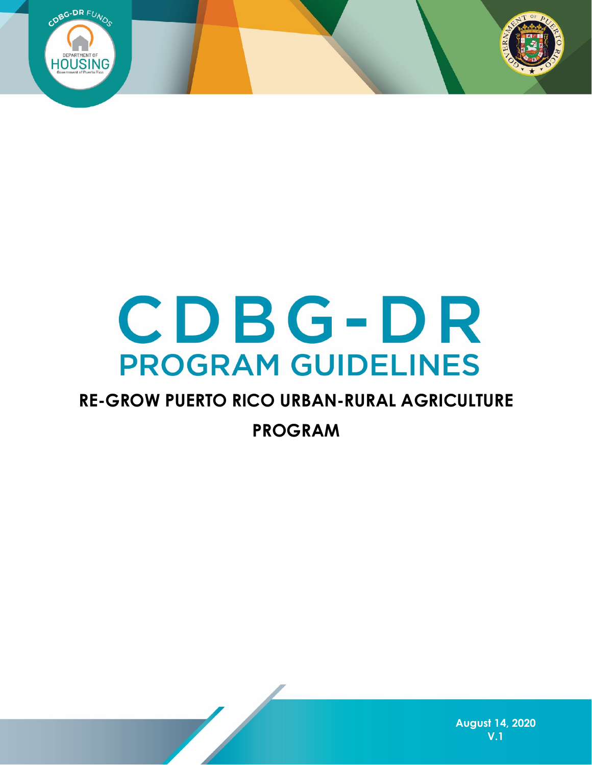



# CDBG-DR **PROGRAM GUIDELINES**

# **RE-GROW PUERTO RICO URBAN-RURAL AGRICULTURE**

# **PROGRAM**

**August 14, 2020 V.1**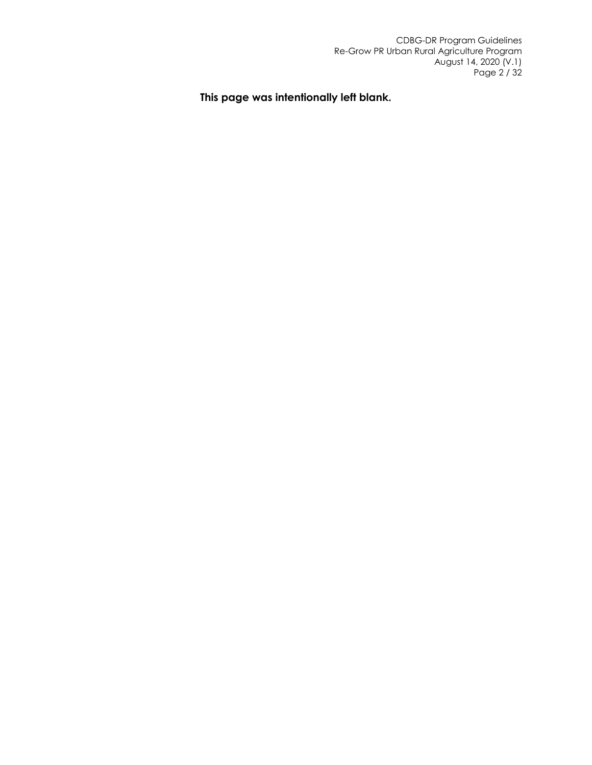CDBG-DR Program Guidelines Re-Grow PR Urban Rural Agriculture Program August 14, 2020 (V.1) Page 2 / 32

**This page was intentionally left blank.**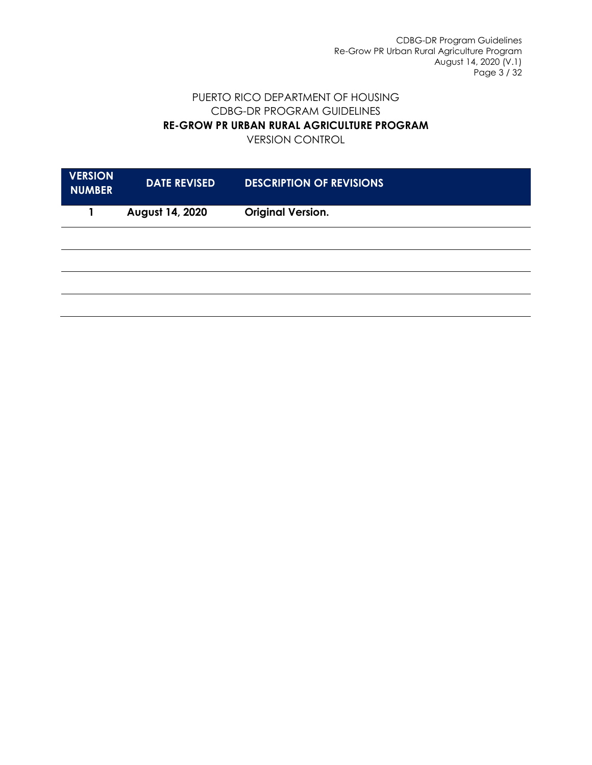CDBG-DR Program Guidelines Re-Grow PR Urban Rural Agriculture Program August 14, 2020 (V.1) Page 3 / 32

# PUERTO RICO DEPARTMENT OF HOUSING CDBG-DR PROGRAM GUIDELINES

**RE-GROW PR URBAN RURAL AGRICULTURE PROGRAM**

VERSION CONTROL

| <b>VERSION</b><br><b>NUMBER</b> | <b>DATE REVISED</b> | <b>DESCRIPTION OF REVISIONS</b> |
|---------------------------------|---------------------|---------------------------------|
|                                 | August 14, 2020     | <b>Original Version.</b>        |
|                                 |                     |                                 |
|                                 |                     |                                 |
|                                 |                     |                                 |
|                                 |                     |                                 |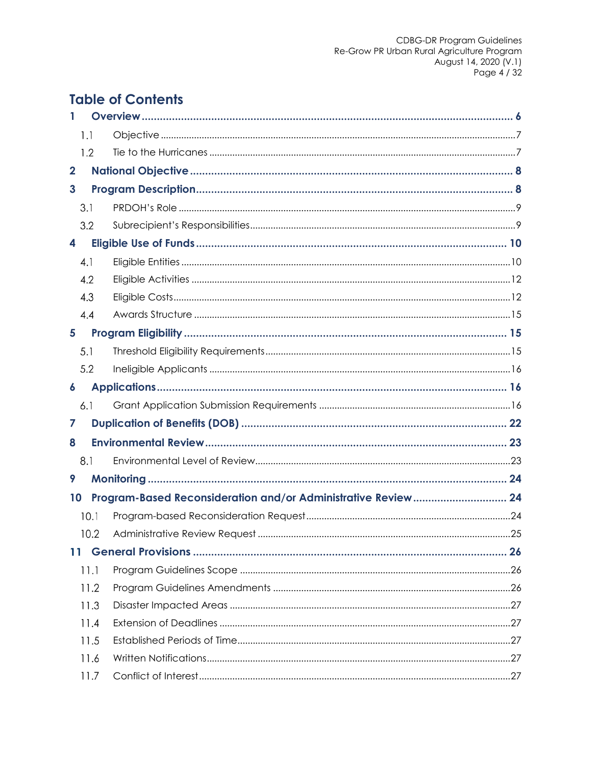# **Table of Contents**

| 1            |      |                                                               |    |
|--------------|------|---------------------------------------------------------------|----|
|              | 1.1  |                                                               |    |
|              | 1.2  |                                                               |    |
| $\mathbf{2}$ |      |                                                               |    |
| 3            |      |                                                               |    |
|              | 3.1  |                                                               |    |
|              | 3.2  |                                                               |    |
| 4            |      |                                                               |    |
|              | 4.1  |                                                               |    |
|              | 4.2  |                                                               |    |
|              | 4.3  |                                                               |    |
|              | 4.4  |                                                               |    |
| 5            |      |                                                               |    |
|              | 5.1  |                                                               |    |
|              | 5.2  |                                                               |    |
| 6            |      |                                                               |    |
|              | 6.1  |                                                               |    |
| 7            |      |                                                               |    |
| 8            |      |                                                               |    |
|              | 8.1  |                                                               |    |
| 9            |      |                                                               |    |
| 10           |      | Program-Based Reconsideration and/or Administrative Review 24 |    |
|              | 10.1 |                                                               |    |
|              | 10.2 |                                                               |    |
|              |      |                                                               | 26 |
|              | 11.1 |                                                               |    |
|              | 11.2 |                                                               |    |
|              | 11.3 |                                                               |    |
|              | 11.4 |                                                               |    |
|              | 11.5 |                                                               |    |
|              | 11.6 |                                                               |    |
|              | 11.7 |                                                               |    |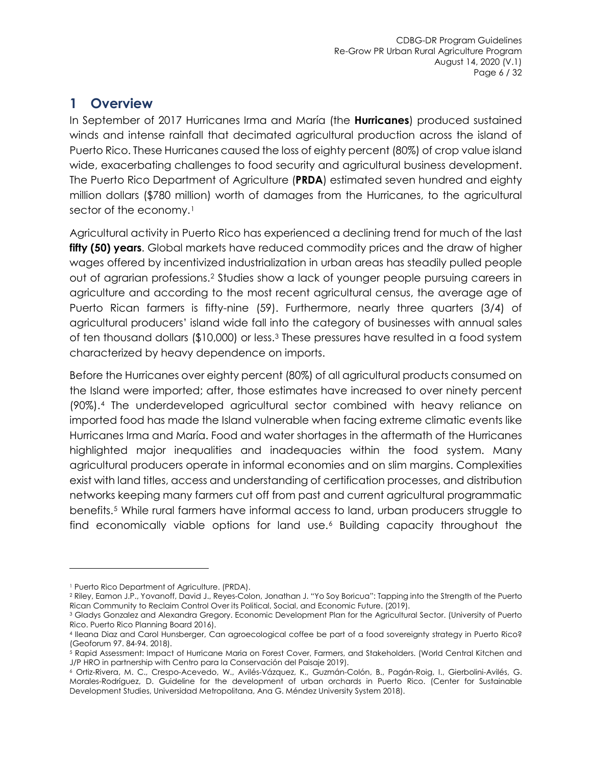# <span id="page-5-0"></span>**1 Overview**

In September of 2017 Hurricanes Irma and María (the **Hurricanes**) produced sustained winds and intense rainfall that decimated agricultural production across the island of Puerto Rico. These Hurricanes caused the loss of eighty percent (80%) of crop value island wide, exacerbating challenges to food security and agricultural business development. The Puerto Rico Department of Agriculture (**PRDA**) estimated seven hundred and eighty million dollars (\$780 million) worth of damages from the Hurricanes, to the agricultural sector of the economy.<sup>[1](#page-5-1)</sup>

Agricultural activity in Puerto Rico has experienced a declining trend for much of the last **fifty (50) years**. Global markets have reduced commodity prices and the draw of higher wages offered by incentivized industrialization in urban areas has steadily pulled people out of agrarian professions.[2](#page-5-2) Studies show a lack of younger people pursuing careers in agriculture and according to the most recent agricultural census, the average age of Puerto Rican farmers is fifty-nine (59). Furthermore, nearly three quarters (3/4) of agricultural producers' island wide fall into the category of businesses with annual sales of ten thousand dollars (\$10,000) or less.[3](#page-5-3) These pressures have resulted in a food system characterized by heavy dependence on imports.

Before the Hurricanes over eighty percent (80%) of all agricultural products consumed on the Island were imported; after, those estimates have increased to over ninety percent (90%).[4](#page-5-4) The underdeveloped agricultural sector combined with heavy reliance on imported food has made the Island vulnerable when facing extreme climatic events like Hurricanes Irma and María. Food and water shortages in the aftermath of the Hurricanes highlighted major inequalities and inadequacies within the food system. Many agricultural producers operate in informal economies and on slim margins. Complexities exist with land titles, access and understanding of certification processes, and distribution networks keeping many farmers cut off from past and current agricultural programmatic benefits.[5](#page-5-5) While rural farmers have informal access to land, urban producers struggle to find economically viable options for land use.[6](#page-5-6) Building capacity throughout the

 $\overline{a}$ 

<sup>1</sup> Puerto Rico Department of Agriculture. (PRDA).

<span id="page-5-2"></span><span id="page-5-1"></span><sup>2</sup> Riley, Eamon J.P., Yovanoff, David J., Reyes-Colon, Jonathan J. "Yo Soy Boricua": Tapping into the Strength of the Puerto Rican Community to Reclaim Control Over its Political, Social, and Economic Future. (2019).

<span id="page-5-3"></span><sup>&</sup>lt;sup>3</sup> Gladys Gonzalez and Alexandra Gregory. Economic Development Plan for the Agricultural Sector. (University of Puerto Rico. Puerto Rico Planning Board 2016).

<span id="page-5-4"></span><sup>4</sup> Ileana Diaz and Carol Hunsberger, Can agroecological coffee be part of a food sovereignty strategy in Puerto Rico? (Geoforum 97. 84-94. 2018).

<span id="page-5-5"></span> $^5$  Rapid Assessment: Impact of Hurricane Maria on Forest Cover, Farmers, and Stakeholders. (World Central Kitchen and J/P HRO in partnership with Centro para la Conservación del Paisaje 2019).

<span id="page-5-6"></span><sup>6</sup> Ortiz-Rivera, M. C., Crespo-Acevedo, W., Avilés-Vázquez, K., Guzmán-Colón, B., Pagán-Roig, I., Gierbolini-Avilés, G. Morales-Rodríguez, D. Guideline for the development of urban orchards in Puerto Rico. (Center for Sustainable Development Studies, Universidad Metropolitana, Ana G. Méndez University System 2018).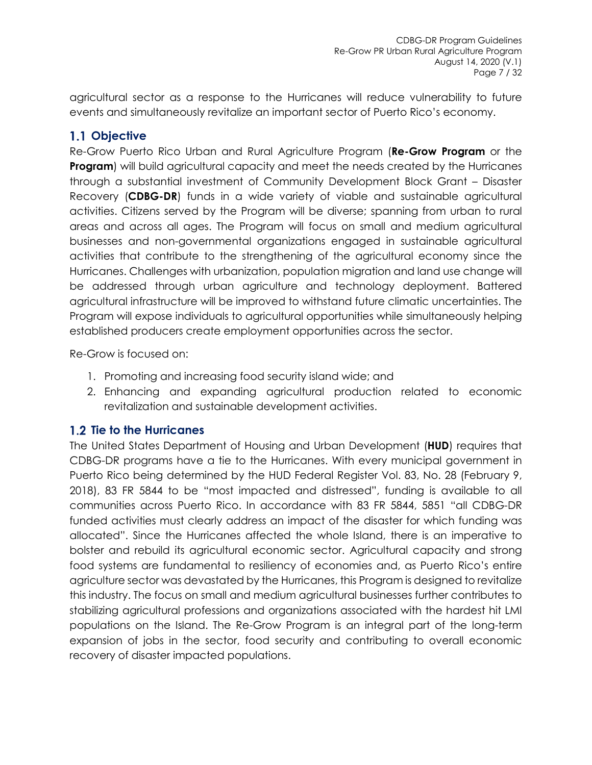agricultural sector as a response to the Hurricanes will reduce vulnerability to future events and simultaneously revitalize an important sector of Puerto Rico's economy.

## <span id="page-6-0"></span>1.1 Objective

Re-Grow Puerto Rico Urban and Rural Agriculture Program (**Re-Grow Program** or the **Program**) will build agricultural capacity and meet the needs created by the Hurricanes through a substantial investment of Community Development Block Grant – Disaster Recovery (**CDBG-DR**) funds in a wide variety of viable and sustainable agricultural activities. Citizens served by the Program will be diverse; spanning from urban to rural areas and across all ages. The Program will focus on small and medium agricultural businesses and non-governmental organizations engaged in sustainable agricultural activities that contribute to the strengthening of the agricultural economy since the Hurricanes. Challenges with urbanization, population migration and land use change will be addressed through urban agriculture and technology deployment. Battered agricultural infrastructure will be improved to withstand future climatic uncertainties. The Program will expose individuals to agricultural opportunities while simultaneously helping established producers create employment opportunities across the sector.

Re-Grow is focused on:

- 1. Promoting and increasing food security island wide; and
- 2. Enhancing and expanding agricultural production related to economic revitalization and sustainable development activities.

#### <span id="page-6-1"></span>**Tie to the Hurricanes**

The United States Department of Housing and Urban Development (**HUD**) requires that CDBG-DR programs have a tie to the Hurricanes. With every municipal government in Puerto Rico being determined by the HUD Federal Register Vol. 83, No. 28 (February 9, 2018), 83 FR 5844 to be "most impacted and distressed", funding is available to all communities across Puerto Rico. In accordance with 83 FR 5844, 5851 "all CDBG-DR funded activities must clearly address an impact of the disaster for which funding was allocated". Since the Hurricanes affected the whole Island, there is an imperative to bolster and rebuild its agricultural economic sector. Agricultural capacity and strong food systems are fundamental to resiliency of economies and, as Puerto Rico's entire agriculture sector was devastated by the Hurricanes, this Program is designed to revitalize this industry. The focus on small and medium agricultural businesses further contributes to stabilizing agricultural professions and organizations associated with the hardest hit LMI populations on the Island. The Re-Grow Program is an integral part of the long-term expansion of jobs in the sector, food security and contributing to overall economic recovery of disaster impacted populations.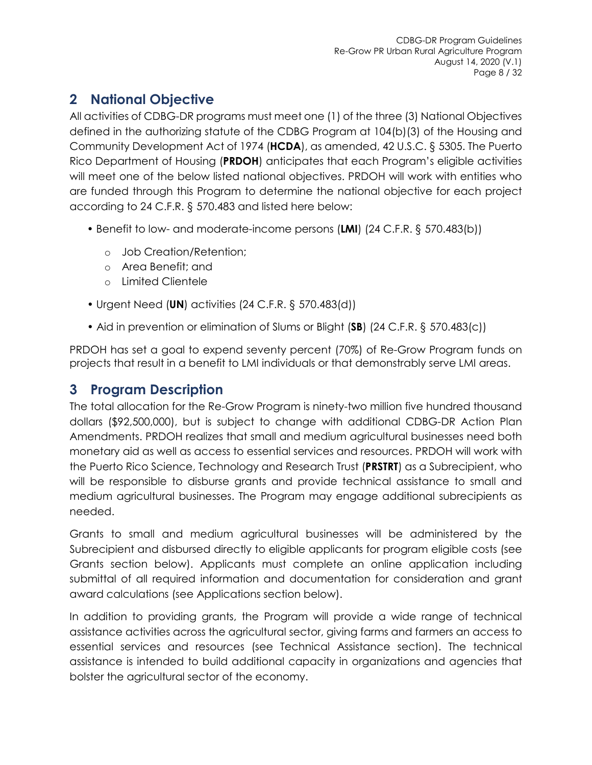# <span id="page-7-0"></span>**2 National Objective**

All activities of CDBG-DR programs must meet one (1) of the three (3) National Objectives defined in the authorizing statute of the CDBG Program at 104(b)(3) of the Housing and Community Development Act of 1974 (**HCDA**), as amended, 42 U.S.C. § 5305. The Puerto Rico Department of Housing (**PRDOH**) anticipates that each Program's eligible activities will meet one of the below listed national objectives. PRDOH will work with entities who are funded through this Program to determine the national objective for each project according to 24 C.F.R. § 570.483 and listed here below:

- Benefit to low- and moderate-income persons (**LMI**) (24 C.F.R. § 570.483(b))
	- o Job Creation/Retention;
	- o Area Benefit; and
	- o Limited Clientele
- Urgent Need (**UN**) activities (24 C.F.R. § 570.483(d))
- Aid in prevention or elimination of Slums or Blight (**SB**) (24 C.F.R. § 570.483(c))

PRDOH has set a goal to expend seventy percent (70%) of Re-Grow Program funds on projects that result in a benefit to LMI individuals or that demonstrably serve LMI areas.

# <span id="page-7-1"></span>**3 Program Description**

The total allocation for the Re-Grow Program is ninety-two million five hundred thousand dollars (\$92,500,000), but is subject to change with additional CDBG-DR Action Plan Amendments. PRDOH realizes that small and medium agricultural businesses need both monetary aid as well as access to essential services and resources. PRDOH will work with the Puerto Rico Science, Technology and Research Trust (**PRSTRT**) as a Subrecipient, who will be responsible to disburse grants and provide technical assistance to small and medium agricultural businesses. The Program may engage additional subrecipients as needed.

Grants to small and medium agricultural businesses will be administered by the Subrecipient and disbursed directly to eligible applicants for program eligible costs (see Grants section below). Applicants must complete an online application including submittal of all required information and documentation for consideration and grant award calculations (see Applications section below).

In addition to providing grants, the Program will provide a wide range of technical assistance activities across the agricultural sector, giving farms and farmers an access to essential services and resources (see Technical Assistance section). The technical assistance is intended to build additional capacity in organizations and agencies that bolster the agricultural sector of the economy.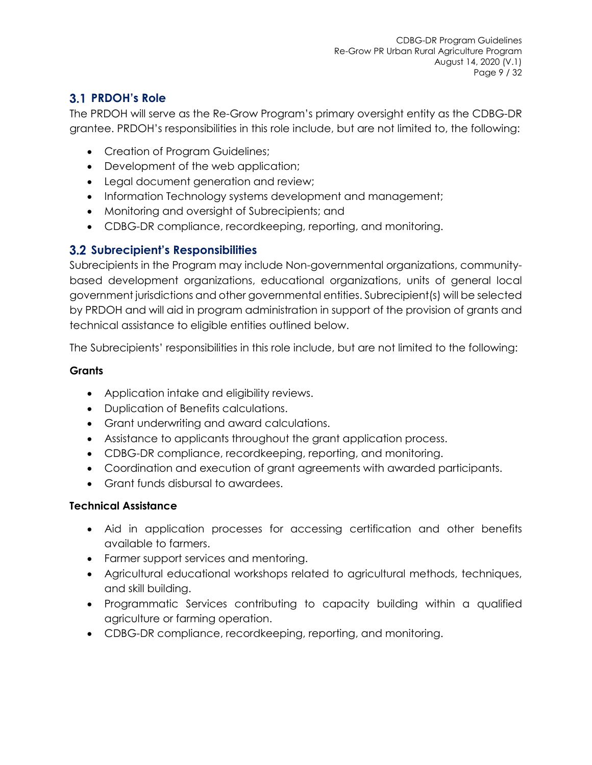## <span id="page-8-0"></span>**3.1 PRDOH's Role**

The PRDOH will serve as the Re-Grow Program's primary oversight entity as the CDBG-DR grantee. PRDOH's responsibilities in this role include, but are not limited to, the following:

- Creation of Program Guidelines;
- Development of the web application;
- Legal document generation and review;
- Information Technology systems development and management;
- Monitoring and oversight of Subrecipients; and
- CDBG-DR compliance, recordkeeping, reporting, and monitoring.

# <span id="page-8-1"></span>**Subrecipient's Responsibilities**

Subrecipients in the Program may include Non-governmental organizations, communitybased development organizations, educational organizations, units of general local government jurisdictions and other governmental entities. Subrecipient(s) will be selected by PRDOH and will aid in program administration in support of the provision of grants and technical assistance to eligible entities outlined below.

The Subrecipients' responsibilities in this role include, but are not limited to the following:

#### **Grants**

- Application intake and eligibility reviews.
- Duplication of Benefits calculations.
- Grant underwriting and award calculations.
- Assistance to applicants throughout the grant application process.
- CDBG-DR compliance, recordkeeping, reporting, and monitoring.
- Coordination and execution of grant agreements with awarded participants.
- Grant funds disbursal to awardees.

#### **Technical Assistance**

- Aid in application processes for accessing certification and other benefits available to farmers.
- Farmer support services and mentoring.
- Agricultural educational workshops related to agricultural methods, techniques, and skill building.
- Programmatic Services contributing to capacity building within a qualified agriculture or farming operation.
- CDBG-DR compliance, recordkeeping, reporting, and monitoring.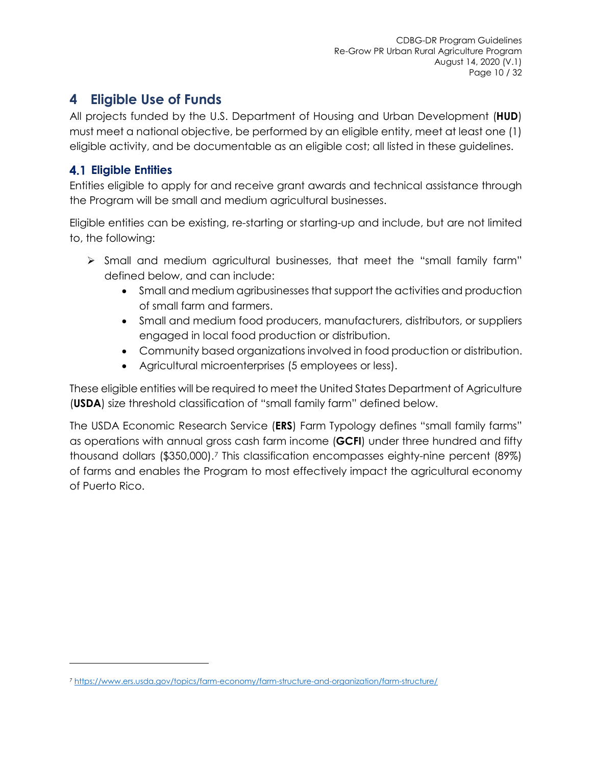# <span id="page-9-0"></span>**4 Eligible Use of Funds**

All projects funded by the U.S. Department of Housing and Urban Development (**HUD**) must meet a national objective, be performed by an eligible entity, meet at least one (1) eligible activity, and be documentable as an eligible cost; all listed in these guidelines.

## <span id="page-9-1"></span>**Eligible Entities**

 $\overline{a}$ 

Entities eligible to apply for and receive grant awards and technical assistance through the Program will be small and medium agricultural businesses.

Eligible entities can be existing, re-starting or starting-up and include, but are not limited to, the following:

- $\triangleright$  Small and medium agricultural businesses, that meet the "small family farm" defined below, and can include:
	- Small and medium agribusinesses that support the activities and production of small farm and farmers.
	- Small and medium food producers, manufacturers, distributors, or suppliers engaged in local food production or distribution.
	- Community based organizations involved in food production or distribution.
	- Agricultural microenterprises (5 employees or less).

These eligible entities will be required to meet the United States Department of Agriculture (**USDA**) size threshold classification of "small family farm" defined below.

The USDA Economic Research Service (**ERS**) Farm Typology defines "small family farms" as operations with annual gross cash farm income (**GCFI**) under three hundred and fifty thousand dollars (\$350,000).[7](#page-9-2) This classification encompasses eighty-nine percent (89%) of farms and enables the Program to most effectively impact the agricultural economy of Puerto Rico.

<span id="page-9-2"></span><sup>7</sup> <https://www.ers.usda.gov/topics/farm-economy/farm-structure-and-organization/farm-structure/>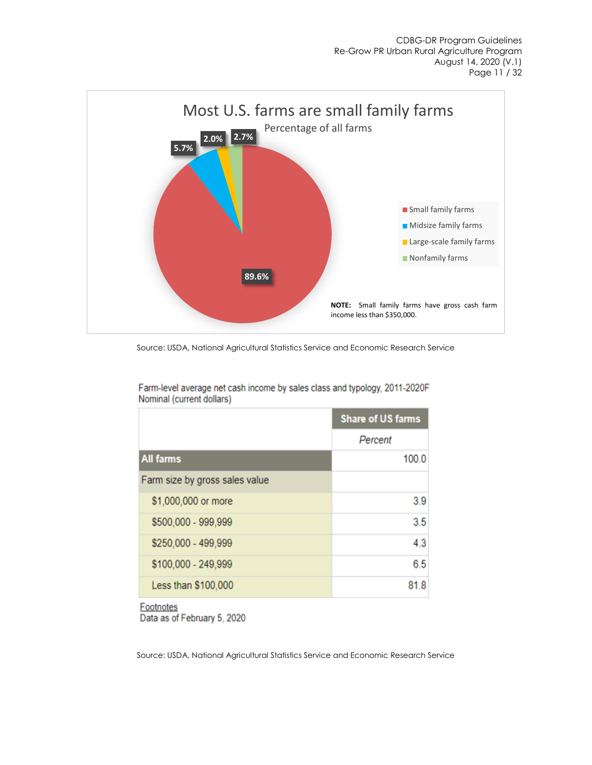

Source: USDA, National Agricultural Statistics Service and Economic Research Service

|                                | <b>Share of US farms</b> |
|--------------------------------|--------------------------|
|                                | Percent                  |
| <b>All farms</b>               | 100.0                    |
| Farm size by gross sales value |                          |
| \$1,000,000 or more            | 3.9                      |
| \$500,000 - 999,999            | 3.5                      |
| \$250,000 - 499,999            | 4.3                      |
| \$100,000 - 249,999            | 6.5                      |
| Less than \$100,000            | 81.8                     |

Farm-level average net cash income by sales class and typology, 2011-2020F Nominal (current dollars)

**Footnotes** Data as of February 5, 2020

Source: USDA, National Agricultural Statistics Service and Economic Research Service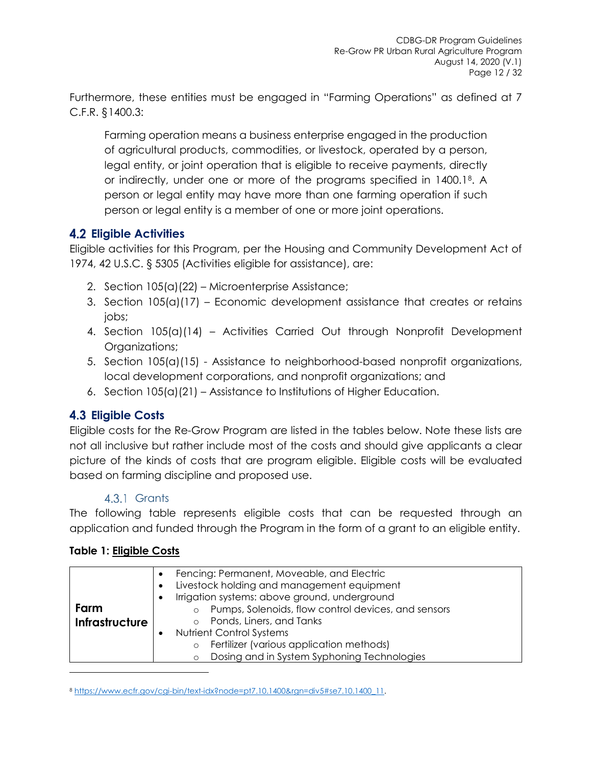Furthermore, these entities must be engaged in "Farming Operations" as defined at 7 C.F.R. §1400.3:

Farming operation means a business enterprise engaged in the production of agricultural products, commodities, or livestock, operated by a person, legal entity, or joint operation that is eligible to receive payments, directly or indirectly, under one or more of the programs specified in 1400.1[8](#page-11-2). A person or legal entity may have more than one farming operation if such person or legal entity is a member of one or more joint operations.

# <span id="page-11-0"></span>**Eligible Activities**

Eligible activities for this Program, per the Housing and Community Development Act of 1974, 42 U.S.C. § 5305 (Activities eligible for assistance), are:

- 2. Section 105(a)(22) Microenterprise Assistance;
- 3. Section 105(a)(17) Economic development assistance that creates or retains iobs:
- 4. Section 105(a)(14) Activities Carried Out through Nonprofit Development Organizations;
- 5. Section 105(a)(15) Assistance to neighborhood-based nonprofit organizations, local development corporations, and nonprofit organizations; and
- 6. Section 105(a)(21) Assistance to Institutions of Higher Education.

# <span id="page-11-1"></span>**Eligible Costs**

Eligible costs for the Re-Grow Program are listed in the tables below. Note these lists are not all inclusive but rather include most of the costs and should give applicants a clear picture of the kinds of costs that are program eligible. Eligible costs will be evaluated based on farming discipline and proposed use.

#### 4.3.1 Grants

The following table represents eligible costs that can be requested through an application and funded through the Program in the form of a grant to an eligible entity.

#### **Table 1: Eligible Costs**

 $\overline{a}$ 

| Farm                  | Fencing: Permanent, Moveable, and Electric<br>Livestock holding and management equipment<br>Irrigation systems: above ground, underground<br>Pumps, Solenoids, flow control devices, and sensors |
|-----------------------|--------------------------------------------------------------------------------------------------------------------------------------------------------------------------------------------------|
| <b>Infrastructure</b> | o Ponds, Liners, and Tanks<br><b>Nutrient Control Systems</b><br>Fertilizer (various application methods)<br>Dosing and in System Syphoning Technologies                                         |

<span id="page-11-2"></span><sup>8</sup> https://www.ecfr.gov/cgi-bin/text-idx?node=pt7.10.1400&rgn=div5#se7.10.1400\_11.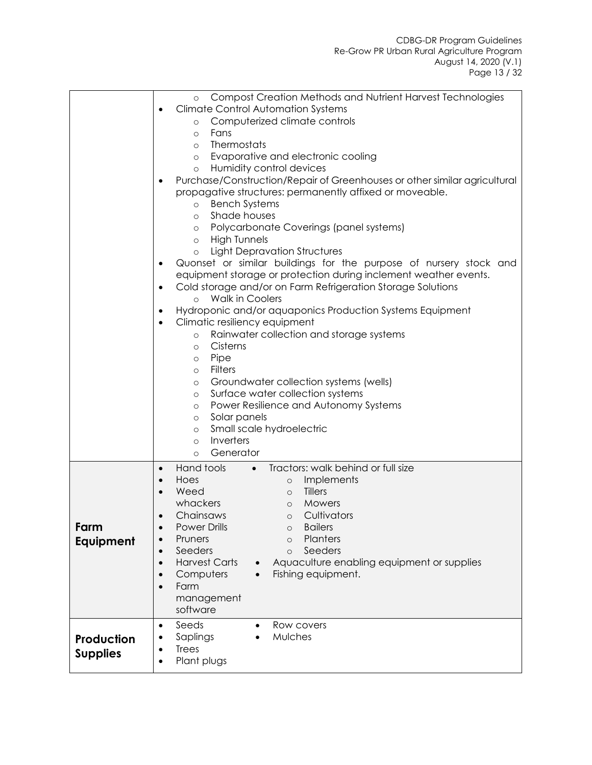|                               | Compost Creation Methods and Nutrient Harvest Technologies<br>$\circ$<br><b>Climate Control Automation Systems</b><br>$\bullet$<br>Computerized climate controls<br>$\circ$<br>Fans<br>$\circ$<br>Thermostats<br>$\circ$<br>Evaporative and electronic cooling<br>$\circ$<br>Humidity control devices<br>$\circ$<br>Purchase/Construction/Repair of Greenhouses or other similar agricultural<br>propagative structures: permanently affixed or moveable.<br><b>Bench Systems</b><br>$\circ$<br>Shade houses<br>$\circ$<br>Polycarbonate Coverings (panel systems)<br>$\circ$<br>High Tunnels<br>$\circ$<br><b>Light Depravation Structures</b><br>$\circ$<br>Quonset or similar buildings for the purpose of nursery stock and<br>equipment storage or protection during inclement weather events.<br>Cold storage and/or on Farm Refrigeration Storage Solutions<br>$\bullet$<br><b>Walk in Coolers</b><br>$\circ$<br>Hydroponic and/or aquaponics Production Systems Equipment<br>$\bullet$<br>Climatic resiliency equipment<br>$\bullet$<br>Rainwater collection and storage systems<br>$\circ$<br>Cisterns<br>$\circ$<br>Pipe<br>$\circ$<br><b>Filters</b><br>$\circ$<br>Groundwater collection systems (wells)<br>$\circ$<br>Surface water collection systems<br>$\circ$<br>Power Resilience and Autonomy Systems<br>$\circ$<br>Solar panels<br>$\circ$<br>Small scale hydroelectric<br>$\circ$<br>Inverters<br>$\circ$<br>Generator<br>$\circ$ |
|-------------------------------|-------------------------------------------------------------------------------------------------------------------------------------------------------------------------------------------------------------------------------------------------------------------------------------------------------------------------------------------------------------------------------------------------------------------------------------------------------------------------------------------------------------------------------------------------------------------------------------------------------------------------------------------------------------------------------------------------------------------------------------------------------------------------------------------------------------------------------------------------------------------------------------------------------------------------------------------------------------------------------------------------------------------------------------------------------------------------------------------------------------------------------------------------------------------------------------------------------------------------------------------------------------------------------------------------------------------------------------------------------------------------------------------------------------------------------------------------------|
| Farm<br>Equipment             | Tractors: walk behind or full size<br>Hand tools<br>$\bullet$<br>$\bullet$<br>Implements<br>Hoes<br>$\bullet$<br>$\circ$<br>Weed<br>Tillers<br>$\circ$<br>whackers<br>Mowers<br>$\circ$<br>Chainsaws<br>Cultivators<br>$\circ$<br><b>Power Drills</b><br><b>Bailers</b><br>$\circ$<br>Planters<br>Pruners<br>$\circ$<br>Seeders<br>Seeders<br>$\bullet$<br>$\circ$<br><b>Harvest Carts</b><br>Aquaculture enabling equipment or supplies<br>$\bullet$<br>Fishing equipment.<br>Computers<br>$\bullet$<br>Farm<br>$\bullet$<br>management<br>software                                                                                                                                                                                                                                                                                                                                                                                                                                                                                                                                                                                                                                                                                                                                                                                                                                                                                                  |
| Production<br><b>Supplies</b> | Seeds<br>Row covers<br>$\bullet$<br>Mulches<br>Saplings<br>$\bullet$<br>Trees<br>$\bullet$<br>Plant plugs<br>$\bullet$                                                                                                                                                                                                                                                                                                                                                                                                                                                                                                                                                                                                                                                                                                                                                                                                                                                                                                                                                                                                                                                                                                                                                                                                                                                                                                                                |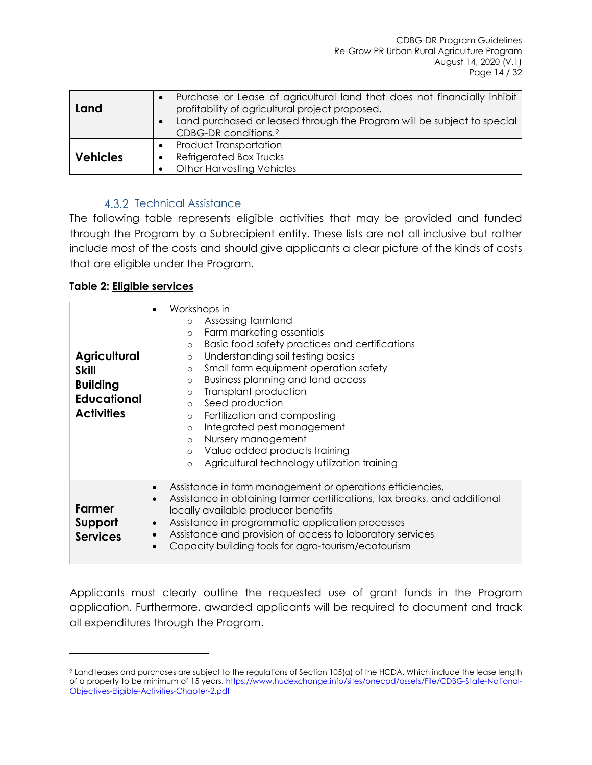| Land            | Purchase or Lease of agricultural land that does not financially inhibit<br>profitability of agricultural project proposed.<br>Land purchased or leased through the Program will be subject to special<br>CDBG-DR conditions. <sup>9</sup> |
|-----------------|--------------------------------------------------------------------------------------------------------------------------------------------------------------------------------------------------------------------------------------------|
| <b>Vehicles</b> | <b>Product Transportation</b><br>Refrigerated Box Trucks<br><b>Other Harvesting Vehicles</b>                                                                                                                                               |

#### 4.3.2 Technical Assistance

The following table represents eligible activities that may be provided and funded through the Program by a Subrecipient entity. These lists are not all inclusive but rather include most of the costs and should give applicants a clear picture of the kinds of costs that are eligible under the Program.

#### **Table 2: Eligible services**

 $\overline{a}$ 

|                                                                                                                                                                                                                                                                                                                                                                                                                                                                                                                                                                                                                                                                                                  | Workshops in<br>٠                                                                                                                                                                                                                                                                                                                                                                                                      |  |
|--------------------------------------------------------------------------------------------------------------------------------------------------------------------------------------------------------------------------------------------------------------------------------------------------------------------------------------------------------------------------------------------------------------------------------------------------------------------------------------------------------------------------------------------------------------------------------------------------------------------------------------------------------------------------------------------------|------------------------------------------------------------------------------------------------------------------------------------------------------------------------------------------------------------------------------------------------------------------------------------------------------------------------------------------------------------------------------------------------------------------------|--|
| Assessing farmland<br>$\circ$<br>Farm marketing essentials<br>$\circ$<br>Basic food safety practices and certifications<br>$\circ$<br><b>Agricultural</b><br>Understanding soil testing basics<br>$\circ$<br>Small farm equipment operation safety<br>$\circ$<br><b>Skill</b><br><b>Business planning and land access</b><br>$\circ$<br><b>Building</b><br>Transplant production<br>$\circ$<br><b>Educational</b><br>Seed production<br>$\circ$<br><b>Activities</b><br>Fertilization and composting<br>$\circ$<br>Integrated pest management<br>$\circ$<br>Nursery management<br>$\circ$<br>Value added products training<br>$\circ$<br>Agricultural technology utilization training<br>$\circ$ |                                                                                                                                                                                                                                                                                                                                                                                                                        |  |
|                                                                                                                                                                                                                                                                                                                                                                                                                                                                                                                                                                                                                                                                                                  |                                                                                                                                                                                                                                                                                                                                                                                                                        |  |
| Farmer<br>Support<br><b>Services</b>                                                                                                                                                                                                                                                                                                                                                                                                                                                                                                                                                                                                                                                             | Assistance in farm management or operations efficiencies.<br>$\bullet$<br>Assistance in obtaining farmer certifications, tax breaks, and additional<br>$\bullet$<br>locally available producer benefits<br>Assistance in programmatic application processes<br>$\bullet$<br>Assistance and provision of access to laboratory services<br>$\bullet$<br>Capacity building tools for agro-tourism/ecotourism<br>$\bullet$ |  |

Applicants must clearly outline the requested use of grant funds in the Program application. Furthermore, awarded applicants will be required to document and track all expenditures through the Program.

<span id="page-13-0"></span><sup>9</sup> Land leases and purchases are subject to the regulations of Section 105(a) of the HCDA. Which include the lease length of a property to be minimum of 15 years[. https://www.hudexchange.info/sites/onecpd/assets/File/CDBG-State-National-](https://www.hudexchange.info/sites/onecpd/assets/File/CDBG-State-National-Objectives-Eligible-Activities-Chapter-2.pdf)[Objectives-Eligible-Activities-Chapter-2.pdf](https://www.hudexchange.info/sites/onecpd/assets/File/CDBG-State-National-Objectives-Eligible-Activities-Chapter-2.pdf)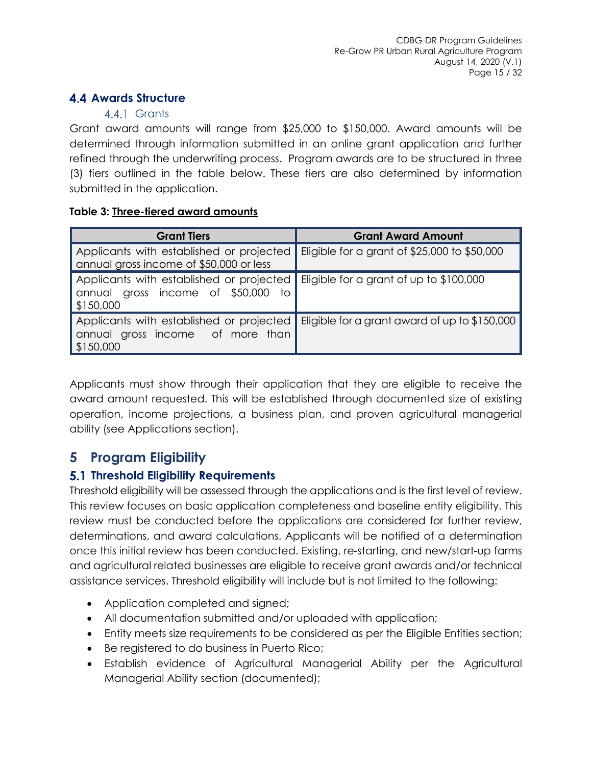### <span id="page-14-0"></span>**Awards Structure**

#### 4.4.1 Grants

Grant award amounts will range from \$25,000 to \$150,000. Award amounts will be determined through information submitted in an online grant application and further refined through the underwriting process. Program awards are to be structured in three (3) tiers outlined in the table below. These tiers are also determined by information submitted in the application.

#### **Table 3: Three-tiered award amounts**

| <b>Grant Tiers</b>                                                                              | <b>Grant Award Amount</b>                     |
|-------------------------------------------------------------------------------------------------|-----------------------------------------------|
| Applicants with established or projected<br>annual gross income of \$50,000 or less             | Eligible for a grant of \$25,000 to \$50,000  |
| Applicants with established or projected<br>annual gross income of \$50,000<br>to.<br>\$150,000 | Eligible for a grant of up to \$100,000       |
| Applicants with established or projected<br>annual gross income of more than<br>\$150,000       | Eligible for a grant award of up to \$150,000 |

Applicants must show through their application that they are eligible to receive the award amount requested. This will be established through documented size of existing operation, income projections, a business plan, and proven agricultural managerial ability (see Applications section).

# <span id="page-14-1"></span>**5 Program Eligibility**

# <span id="page-14-2"></span>**Threshold Eligibility Requirements**

Threshold eligibility will be assessed through the applications and is the first level of review. This review focuses on basic application completeness and baseline entity eligibility. This review must be conducted before the applications are considered for further review, determinations, and award calculations. Applicants will be notified of a determination once this initial review has been conducted. Existing, re-starting, and new/start-up farms and agricultural related businesses are eligible to receive grant awards and/or technical assistance services. Threshold eligibility will include but is not limited to the following:

- Application completed and signed;
- All documentation submitted and/or uploaded with application;
- Entity meets size requirements to be considered as per the Eligible Entities section;
- Be registered to do business in Puerto Rico;
- Establish evidence of Agricultural Managerial Ability per the Agricultural Managerial Ability section (documented);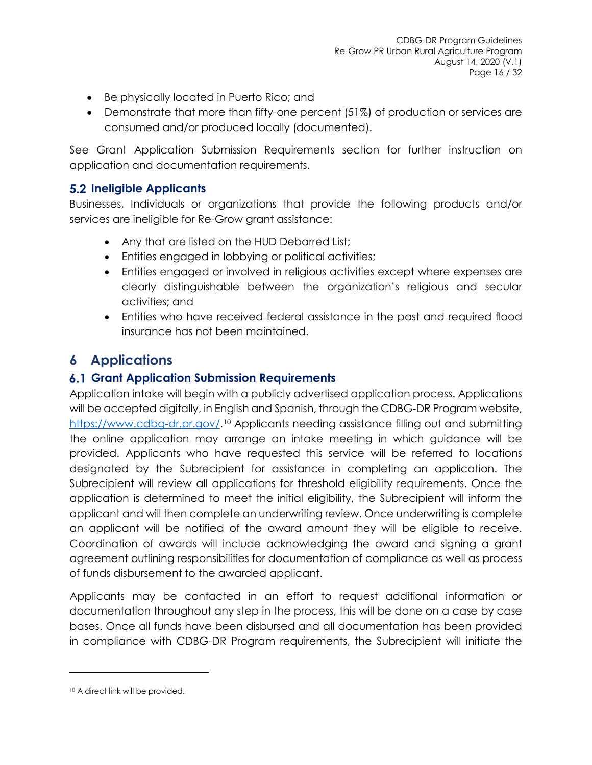- Be physically located in Puerto Rico; and
- Demonstrate that more than fifty-one percent (51%) of production or services are consumed and/or produced locally (documented).

See Grant Application Submission Requirements section for further instruction on application and documentation requirements.

## <span id="page-15-0"></span>**Ineligible Applicants**

Businesses, Individuals or organizations that provide the following products and/or services are ineligible for Re-Grow grant assistance:

- Any that are listed on the HUD Debarred List;
- Entities engaged in lobbying or political activities;
- Entities engaged or involved in religious activities except where expenses are clearly distinguishable between the organization's religious and secular activities; and
- Entities who have received federal assistance in the past and required flood insurance has not been maintained.

# <span id="page-15-1"></span>**6 Applications**

# <span id="page-15-2"></span>**Grant Application Submission Requirements**

Application intake will begin with a publicly advertised application process. Applications will be accepted digitally, in English and Spanish, through the CDBG-DR Program website, [https://www.cdbg-dr.pr.gov/.](https://www.cdbg-dr.pr.gov/)<sup>[10](#page-15-3)</sup> Applicants needing assistance filling out and submitting the online application may arrange an intake meeting in which guidance will be provided. Applicants who have requested this service will be referred to locations designated by the Subrecipient for assistance in completing an application. The Subrecipient will review all applications for threshold eligibility requirements. Once the application is determined to meet the initial eligibility, the Subrecipient will inform the applicant and will then complete an underwriting review. Once underwriting is complete an applicant will be notified of the award amount they will be eligible to receive. Coordination of awards will include acknowledging the award and signing a grant agreement outlining responsibilities for documentation of compliance as well as process of funds disbursement to the awarded applicant.

Applicants may be contacted in an effort to request additional information or documentation throughout any step in the process, this will be done on a case by case bases. Once all funds have been disbursed and all documentation has been provided in compliance with CDBG-DR Program requirements, the Subrecipient will initiate the

 $\overline{a}$ 

<span id="page-15-3"></span><sup>10</sup> A direct link will be provided.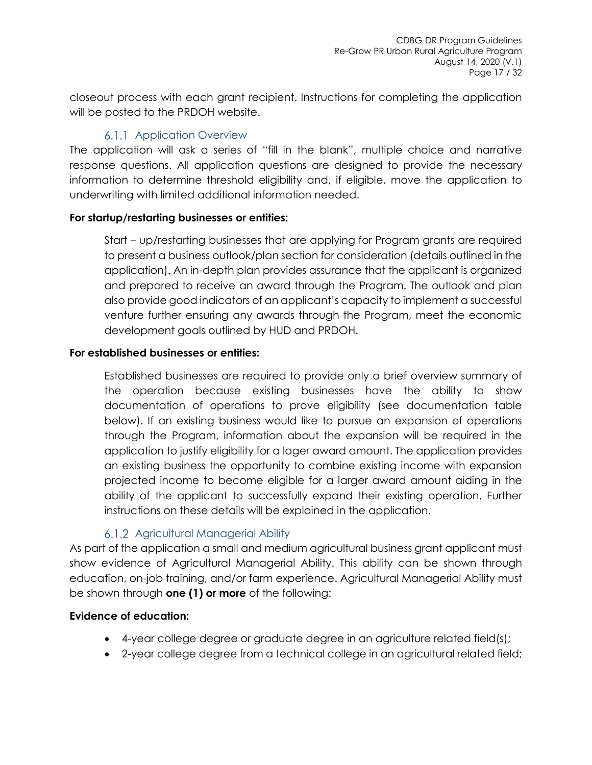closeout process with each grant recipient. Instructions for completing the application will be posted to the PRDOH website.

## 6.1.1 Application Overview

The application will ask a series of "fill in the blank", multiple choice and narrative response questions. All application questions are designed to provide the necessary information to determine threshold eligibility and, if eligible, move the application to underwriting with limited additional information needed.

#### **For startup/restarting businesses or entities:**

Start – up/restarting businesses that are applying for Program grants are required to present a business outlook/plan section for consideration (details outlined in the application). An in-depth plan provides assurance that the applicant is organized and prepared to receive an award through the Program. The outlook and plan also provide good indicators of an applicant's capacity to implement a successful venture further ensuring any awards through the Program, meet the economic development goals outlined by HUD and PRDOH.

#### **For established businesses or entities:**

Established businesses are required to provide only a brief overview summary of the operation because existing businesses have the ability to show documentation of operations to prove eligibility (see documentation table below). If an existing business would like to pursue an expansion of operations through the Program, information about the expansion will be required in the application to justify eligibility for a lager award amount. The application provides an existing business the opportunity to combine existing income with expansion projected income to become eligible for a larger award amount aiding in the ability of the applicant to successfully expand their existing operation. Further instructions on these details will be explained in the application.

#### 6.1.2 Agricultural Managerial Ability

As part of the application a small and medium agricultural business grant applicant must show evidence of Agricultural Managerial Ability. This ability can be shown through education, on-job training, and/or farm experience. Agricultural Managerial Ability must be shown through **one (1) or more** of the following:

#### **Evidence of education:**

- 4-year college degree or graduate degree in an agriculture related field(s);
- 2-year college degree from a technical college in an agricultural related field;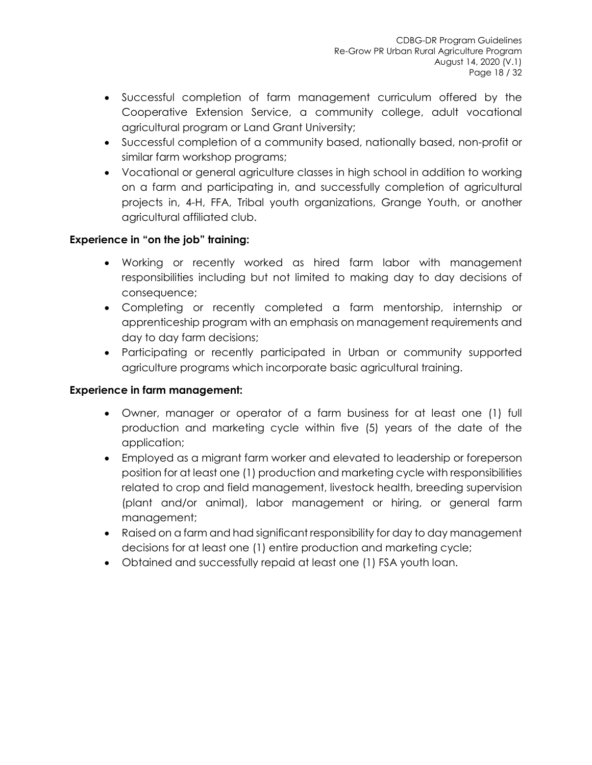- Successful completion of farm management curriculum offered by the Cooperative Extension Service, a community college, adult vocational agricultural program or Land Grant University;
- Successful completion of a community based, nationally based, non-profit or similar farm workshop programs;
- Vocational or general agriculture classes in high school in addition to working on a farm and participating in, and successfully completion of agricultural projects in, 4-H, FFA, Tribal youth organizations, Grange Youth, or another agricultural affiliated club.

#### **Experience in "on the job" training:**

- Working or recently worked as hired farm labor with management responsibilities including but not limited to making day to day decisions of consequence;
- Completing or recently completed a farm mentorship, internship or apprenticeship program with an emphasis on management requirements and day to day farm decisions;
- Participating or recently participated in Urban or community supported agriculture programs which incorporate basic agricultural training.

#### **Experience in farm management:**

- Owner, manager or operator of a farm business for at least one (1) full production and marketing cycle within five (5) years of the date of the application;
- Employed as a migrant farm worker and elevated to leadership or foreperson position for at least one (1) production and marketing cycle with responsibilities related to crop and field management, livestock health, breeding supervision (plant and/or animal), labor management or hiring, or general farm management;
- Raised on a farm and had significant responsibility for day to day management decisions for at least one (1) entire production and marketing cycle;
- Obtained and successfully repaid at least one (1) FSA youth loan.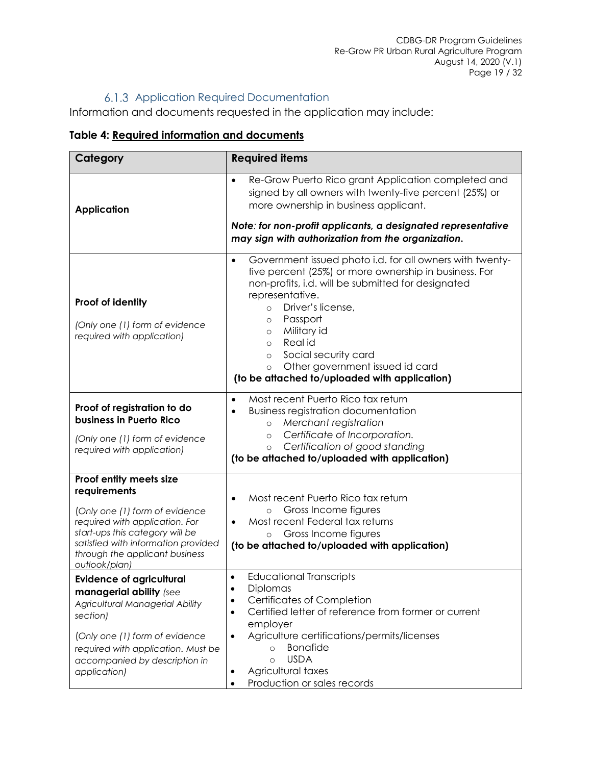# 6.1.3 Application Required Documentation

Information and documents requested in the application may include:

| Category                                                                                                                                                                                                                                 | <b>Required items</b>                                                                                                                                                                                                                                                                                                                                                                                                                            |  |
|------------------------------------------------------------------------------------------------------------------------------------------------------------------------------------------------------------------------------------------|--------------------------------------------------------------------------------------------------------------------------------------------------------------------------------------------------------------------------------------------------------------------------------------------------------------------------------------------------------------------------------------------------------------------------------------------------|--|
| <b>Application</b>                                                                                                                                                                                                                       | Re-Grow Puerto Rico grant Application completed and<br>signed by all owners with twenty-five percent (25%) or<br>more ownership in business applicant.<br>Note: for non-profit applicants, a designated representative<br>may sign with authorization from the organization.                                                                                                                                                                     |  |
| Proof of identity<br>(Only one (1) form of evidence<br>required with application)                                                                                                                                                        | Government issued photo i.d. for all owners with twenty-<br>$\bullet$<br>five percent (25%) or more ownership in business. For<br>non-profits, i.d. will be submitted for designated<br>representative.<br>Driver's license,<br>$\circ$<br>Passport<br>$\circ$<br>Military id<br>$\circ$<br>Real id<br>$\circ$<br>Social security card<br>$\circ$<br>Other government issued id card<br>$\circ$<br>(to be attached to/uploaded with application) |  |
| Proof of registration to do<br>business in Puerto Rico<br>(Only one (1) form of evidence<br>required with application)                                                                                                                   | Most recent Puerto Rico tax return<br>$\bullet$<br><b>Business registration documentation</b><br>$\bullet$<br>Merchant registration<br>$\circ$<br>Certificate of Incorporation.<br>$\circ$<br>Certification of good standing<br>$\circ$<br>(to be attached to/uploaded with application)                                                                                                                                                         |  |
| Proof entity meets size<br>requirements<br>(Only one (1) form of evidence<br>required with application. For<br>start-ups this category will be<br>satisfied with information provided<br>through the applicant business<br>outlook/plan) | Most recent Puerto Rico tax return<br>Gross Income figures<br>$\circ$<br>Most recent Federal tax returns<br>$\bullet$<br>Gross Income figures<br>$\circ$<br>(to be attached to/uploaded with application)                                                                                                                                                                                                                                        |  |
| <b>Evidence of agricultural</b><br>managerial ability (see<br>Agricultural Managerial Ability<br>section)<br>(Only one (1) form of evidence<br>required with application. Must be<br>accompanied by description in<br>application)       | <b>Educational Transcripts</b><br>$\bullet$<br>Diplomas<br>٠<br>Certificates of Completion<br>٠<br>Certified letter of reference from former or current<br>$\bullet$<br>employer<br>Agriculture certifications/permits/licenses<br>$\bullet$<br><b>Bonafide</b><br>$\circ$<br><b>USDA</b><br>$\Omega$<br>Agricultural taxes<br>Production or sales records<br>$\bullet$                                                                          |  |

# **Table 4: Required information and documents**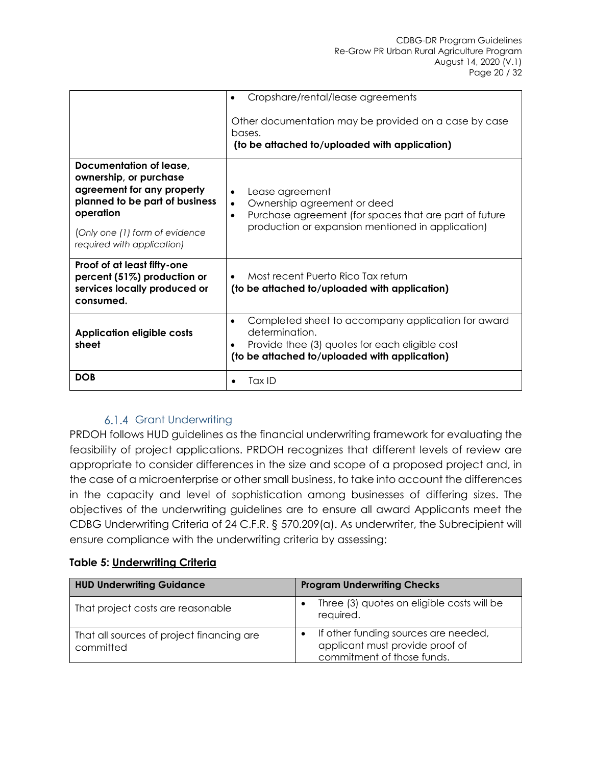|                                                                                                                                                                                                | Cropshare/rental/lease agreements<br>$\bullet$<br>Other documentation may be provided on a case by case<br>bases.<br>(to be attached to/uploaded with application)                                   |
|------------------------------------------------------------------------------------------------------------------------------------------------------------------------------------------------|------------------------------------------------------------------------------------------------------------------------------------------------------------------------------------------------------|
| Documentation of lease,<br>ownership, or purchase<br>agreement for any property<br>planned to be part of business<br>operation<br>(Only one (1) form of evidence<br>required with application) | Lease agreement<br>$\bullet$<br>Ownership agreement or deed<br>$\bullet$<br>Purchase agreement (for spaces that are part of future<br>$\bullet$<br>production or expansion mentioned in application) |
| Proof of at least fifty-one<br>percent (51%) production or<br>services locally produced or<br>consumed.                                                                                        | Most recent Puerto Rico Tax return<br>$\bullet$<br>(to be attached to/uploaded with application)                                                                                                     |
| <b>Application eligible costs</b><br>sheet                                                                                                                                                     | Completed sheet to accompany application for award<br>$\bullet$<br>determination.<br>Provide thee (3) quotes for each eligible cost<br>(to be attached to/uploaded with application)                 |
| <b>DOB</b>                                                                                                                                                                                     | Tax ID                                                                                                                                                                                               |

#### 6.1.4 Grant Underwriting

PRDOH follows HUD guidelines as the financial underwriting framework for evaluating the feasibility of project applications. PRDOH recognizes that different levels of review are appropriate to consider differences in the size and scope of a proposed project and, in the case of a microenterprise or other small business, to take into account the differences in the capacity and level of sophistication among businesses of differing sizes. The objectives of the underwriting guidelines are to ensure all award Applicants meet the CDBG Underwriting Criteria of 24 C.F.R. § 570.209(a). As underwriter, the Subrecipient will ensure compliance with the underwriting criteria by assessing:

#### **Table 5: Underwriting Criteria**

| <b>HUD Underwriting Guidance</b>                       | <b>Program Underwriting Checks</b>                                                                    |
|--------------------------------------------------------|-------------------------------------------------------------------------------------------------------|
| That project costs are reasonable                      | Three (3) quotes on eligible costs will be<br>required.                                               |
| That all sources of project financing are<br>committed | If other funding sources are needed,<br>applicant must provide proof of<br>commitment of those funds. |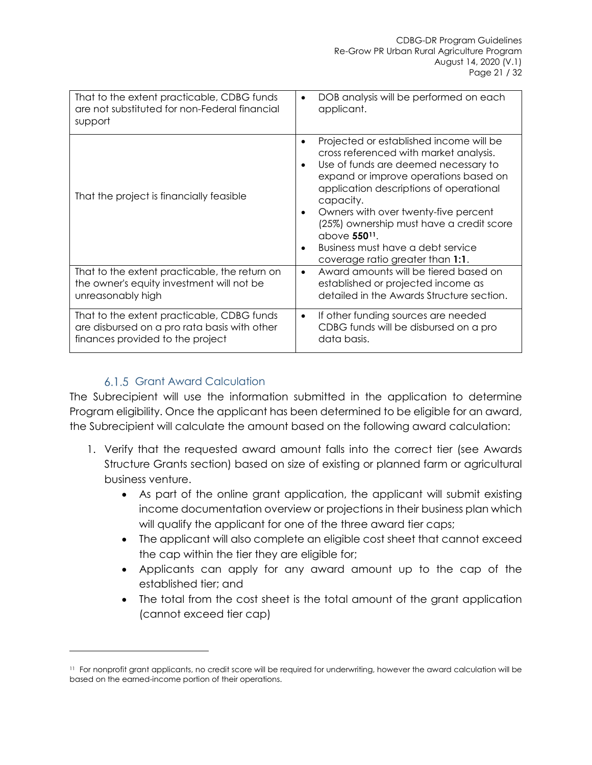| That to the extent practicable, CDBG funds<br>are not substituted for non-Federal financial<br>support                         | DOB analysis will be performed on each<br>$\bullet$<br>applicant.                                                                                                                                                                                                                                                                                                                                                                                           |
|--------------------------------------------------------------------------------------------------------------------------------|-------------------------------------------------------------------------------------------------------------------------------------------------------------------------------------------------------------------------------------------------------------------------------------------------------------------------------------------------------------------------------------------------------------------------------------------------------------|
| That the project is financially feasible                                                                                       | Projected or established income will be<br>$\bullet$<br>cross referenced with market analysis.<br>Use of funds are deemed necessary to<br>$\bullet$<br>expand or improve operations based on<br>application descriptions of operational<br>capacity.<br>Owners with over twenty-five percent<br>$\bullet$<br>(25%) ownership must have a credit score<br>above 550 <sup>11</sup> .<br>Business must have a debt service<br>coverage ratio greater than 1:1. |
| That to the extent practicable, the return on<br>the owner's equity investment will not be<br>unreasonably high                | Award amounts will be tiered based on<br>$\bullet$<br>established or projected income as<br>detailed in the Awards Structure section.                                                                                                                                                                                                                                                                                                                       |
| That to the extent practicable, CDBG funds<br>are disbursed on a pro rata basis with other<br>finances provided to the project | If other funding sources are needed<br>$\bullet$<br>CDBG funds will be disbursed on a pro<br>data basis.                                                                                                                                                                                                                                                                                                                                                    |

## 6.1.5 Grant Award Calculation

 $\overline{a}$ 

The Subrecipient will use the information submitted in the application to determine Program eligibility. Once the applicant has been determined to be eligible for an award, the Subrecipient will calculate the amount based on the following award calculation:

- 1. Verify that the requested award amount falls into the correct tier (see Awards Structure Grants section) based on size of existing or planned farm or agricultural business venture.
	- As part of the online grant application, the applicant will submit existing income documentation overview or projections in their business plan which will qualify the applicant for one of the three award tier caps;
	- The applicant will also complete an eligible cost sheet that cannot exceed the cap within the tier they are eligible for;
	- Applicants can apply for any award amount up to the cap of the established tier; and
	- The total from the cost sheet is the total amount of the grant application (cannot exceed tier cap)

<span id="page-20-0"></span><sup>11</sup> For nonprofit grant applicants, no credit score will be required for underwriting, however the award calculation will be based on the earned-income portion of their operations.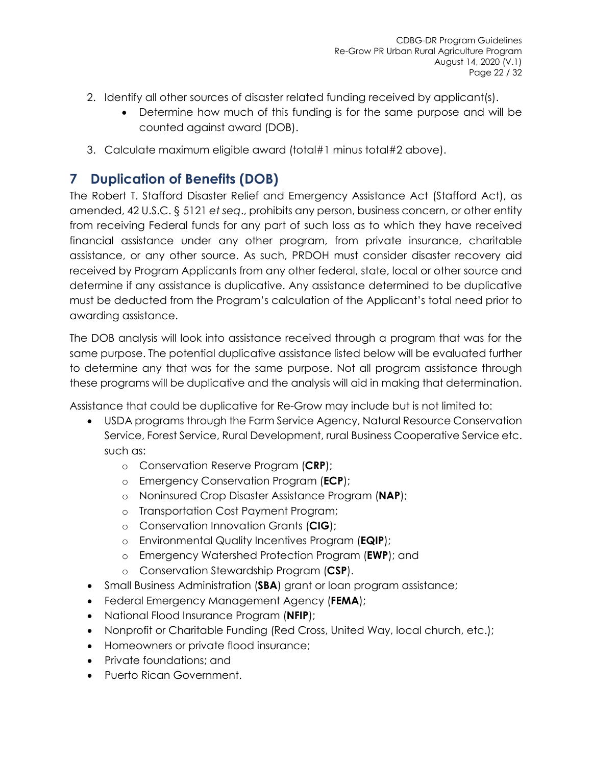- 2. Identify all other sources of disaster related funding received by applicant(s).
	- Determine how much of this funding is for the same purpose and will be counted against award (DOB).
- 3. Calculate maximum eligible award (total#1 minus total#2 above).

# <span id="page-21-0"></span>**7 Duplication of Benefits (DOB)**

The Robert T. Stafford Disaster Relief and Emergency Assistance Act (Stafford Act), as amended, 42 U.S.C. § 5121 *et seq*., prohibits any person, business concern, or other entity from receiving Federal funds for any part of such loss as to which they have received financial assistance under any other program, from private insurance, charitable assistance, or any other source. As such, PRDOH must consider disaster recovery aid received by Program Applicants from any other federal, state, local or other source and determine if any assistance is duplicative. Any assistance determined to be duplicative must be deducted from the Program's calculation of the Applicant's total need prior to awarding assistance.

The DOB analysis will look into assistance received through a program that was for the same purpose. The potential duplicative assistance listed below will be evaluated further to determine any that was for the same purpose. Not all program assistance through these programs will be duplicative and the analysis will aid in making that determination.

Assistance that could be duplicative for Re-Grow may include but is not limited to:

- USDA programs through the Farm Service Agency, Natural Resource Conservation Service, Forest Service, Rural Development, rural Business Cooperative Service etc. such as:
	- o Conservation Reserve Program (**CRP**);
	- o Emergency Conservation Program (**ECP**);
	- o Noninsured Crop Disaster Assistance Program (**NAP**);
	- o Transportation Cost Payment Program;
	- o Conservation Innovation Grants (**CIG**);
	- o Environmental Quality Incentives Program (**EQIP**);
	- o Emergency Watershed Protection Program (**EWP**); and
	- o Conservation Stewardship Program (**CSP**).
- Small Business Administration (**SBA**) grant or loan program assistance;
- Federal Emergency Management Agency (**FEMA**);
- National Flood Insurance Program (**NFIP**);
- Nonprofit or Charitable Funding (Red Cross, United Way, local church, etc.);
- Homeowners or private flood insurance;
- Private foundations; and
- Puerto Rican Government.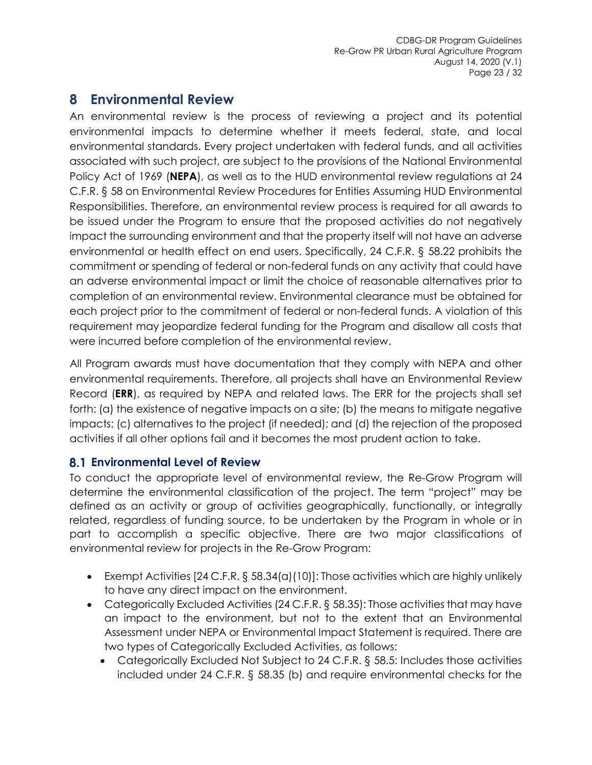# <span id="page-22-0"></span>**8 Environmental Review**

An environmental review is the process of reviewing a project and its potential environmental impacts to determine whether it meets federal, state, and local environmental standards. Every project undertaken with federal funds, and all activities associated with such project, are subject to the provisions of the National Environmental Policy Act of 1969 (**NEPA**), as well as to the HUD environmental review regulations at 24 C.F.R. § 58 on Environmental Review Procedures for Entities Assuming HUD Environmental Responsibilities. Therefore, an environmental review process is required for all awards to be issued under the Program to ensure that the proposed activities do not negatively impact the surrounding environment and that the property itself will not have an adverse environmental or health effect on end users. Specifically, 24 C.F.R. § 58.22 prohibits the commitment or spending of federal or non-federal funds on any activity that could have an adverse environmental impact or limit the choice of reasonable alternatives prior to completion of an environmental review. Environmental clearance must be obtained for each project prior to the commitment of federal or non-federal funds. A violation of this requirement may jeopardize federal funding for the Program and disallow all costs that were incurred before completion of the environmental review.

All Program awards must have documentation that they comply with NEPA and other environmental requirements. Therefore, all projects shall have an Environmental Review Record (**ERR**), as required by NEPA and related laws. The ERR for the projects shall set forth: (a) the existence of negative impacts on a site; (b) the means to mitigate negative impacts; (c) alternatives to the project (if needed); and (d) the rejection of the proposed activities if all other options fail and it becomes the most prudent action to take.

# <span id="page-22-1"></span>**Environmental Level of Review**

To conduct the appropriate level of environmental review, the Re-Grow Program will determine the environmental classification of the project. The term "project" may be defined as an activity or group of activities geographically, functionally, or integrally related, regardless of funding source, to be undertaken by the Program in whole or in part to accomplish a specific objective. There are two major classifications of environmental review for projects in the Re-Grow Program:

- Exempt Activities [24 C.F.R. § 58.34(a)(10)]: Those activities which are highly unlikely to have any direct impact on the environment.
- Categorically Excluded Activities (24 C.F.R. § 58.35): Those activities that may have an impact to the environment, but not to the extent that an Environmental Assessment under NEPA or Environmental Impact Statement is required. There are two types of Categorically Excluded Activities, as follows:
	- Categorically Excluded Not Subject to 24 C.F.R. § 58.5: Includes those activities included under 24 C.F.R. § 58.35 (b) and require environmental checks for the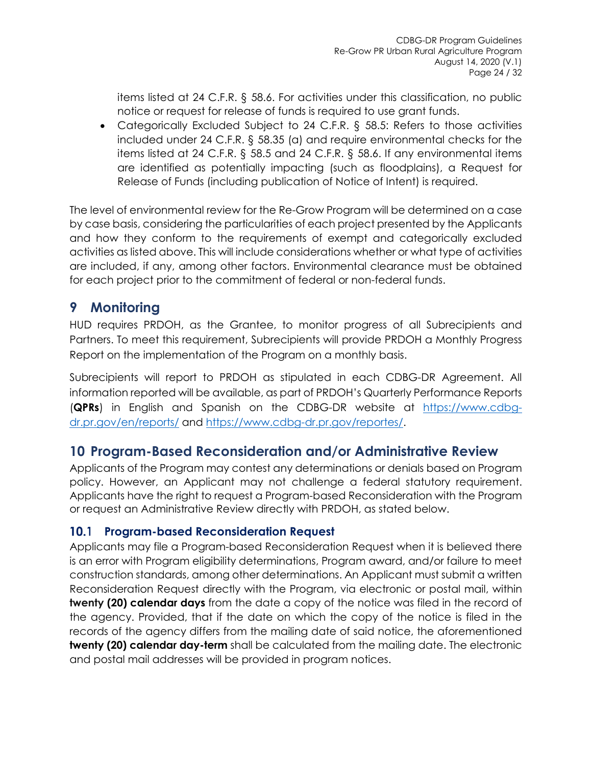items listed at 24 C.F.R. § 58.6. For activities under this classification, no public notice or request for release of funds is required to use grant funds.

• Categorically Excluded Subject to 24 C.F.R. § 58.5: Refers to those activities included under 24 C.F.R. § 58.35 (a) and require environmental checks for the items listed at 24 C.F.R. § 58.5 and 24 C.F.R. § 58.6. If any environmental items are identified as potentially impacting (such as floodplains), a Request for Release of Funds (including publication of Notice of Intent) is required.

The level of environmental review for the Re-Grow Program will be determined on a case by case basis, considering the particularities of each project presented by the Applicants and how they conform to the requirements of exempt and categorically excluded activities as listed above. This will include considerations whether or what type of activities are included, if any, among other factors. Environmental clearance must be obtained for each project prior to the commitment of federal or non-federal funds.

# <span id="page-23-0"></span>**9 Monitoring**

HUD requires PRDOH, as the Grantee, to monitor progress of all Subrecipients and Partners. To meet this requirement, Subrecipients will provide PRDOH a Monthly Progress Report on the implementation of the Program on a monthly basis.

Subrecipients will report to PRDOH as stipulated in each CDBG-DR Agreement. All information reported will be available, as part of PRDOH's Quarterly Performance Reports (**QPRs**) in English and Spanish on the CDBG-DR website at [https://www.cdbg](https://www.cdbg-dr.pr.gov/en/reports/)[dr.pr.gov/en/reports/](https://www.cdbg-dr.pr.gov/en/reports/) and [https://www.cdbg-dr.pr.gov/reportes/.](https://www.cdbg-dr.pr.gov/reportes/)

# <span id="page-23-1"></span>**10 Program-Based Reconsideration and/or Administrative Review**

Applicants of the Program may contest any determinations or denials based on Program policy. However, an Applicant may not challenge a federal statutory requirement. Applicants have the right to request a Program-based Reconsideration with the Program or request an Administrative Review directly with PRDOH, as stated below.

#### <span id="page-23-2"></span>**Program-based Reconsideration Request**  $10.1$

Applicants may file a Program-based Reconsideration Request when it is believed there is an error with Program eligibility determinations, Program award, and/or failure to meet construction standards, among other determinations. An Applicant must submit a written Reconsideration Request directly with the Program, via electronic or postal mail, within **twenty (20) calendar days** from the date a copy of the notice was filed in the record of the agency. Provided, that if the date on which the copy of the notice is filed in the records of the agency differs from the mailing date of said notice, the aforementioned **twenty (20) calendar day-term** shall be calculated from the mailing date. The electronic and postal mail addresses will be provided in program notices.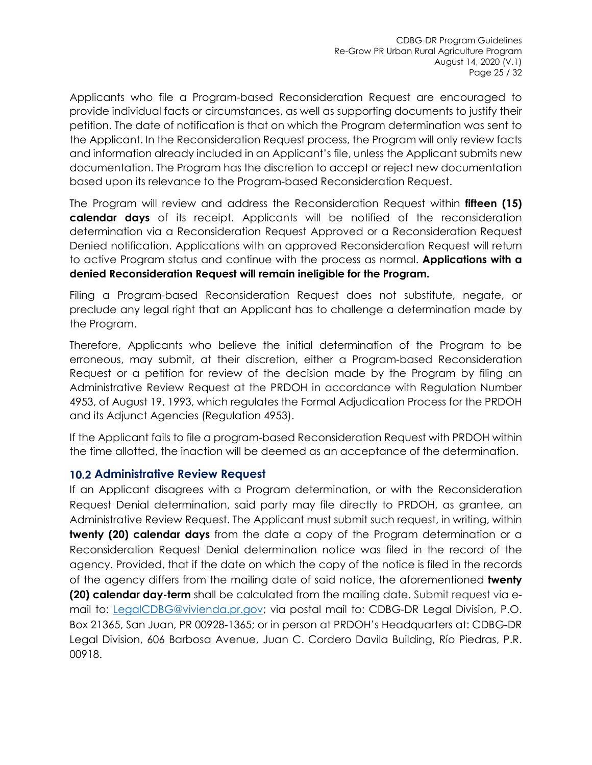Applicants who file a Program-based Reconsideration Request are encouraged to provide individual facts or circumstances, as well as supporting documents to justify their petition. The date of notification is that on which the Program determination was sent to the Applicant. In the Reconsideration Request process, the Program will only review facts and information already included in an Applicant's file, unless the Applicant submits new documentation. The Program has the discretion to accept or reject new documentation based upon its relevance to the Program-based Reconsideration Request.

The Program will review and address the Reconsideration Request within **fifteen (15) calendar days** of its receipt. Applicants will be notified of the reconsideration determination via a Reconsideration Request Approved or a Reconsideration Request Denied notification. Applications with an approved Reconsideration Request will return to active Program status and continue with the process as normal. **Applications with a denied Reconsideration Request will remain ineligible for the Program.**

Filing a Program-based Reconsideration Request does not substitute, negate, or preclude any legal right that an Applicant has to challenge a determination made by the Program.

Therefore, Applicants who believe the initial determination of the Program to be erroneous, may submit, at their discretion, either a Program-based Reconsideration Request or a petition for review of the decision made by the Program by filing an Administrative Review Request at the PRDOH in accordance with Regulation Number 4953, of August 19, 1993, which regulates the Formal Adjudication Process for the PRDOH and its Adjunct Agencies (Regulation 4953).

If the Applicant fails to file a program-based Reconsideration Request with PRDOH within the time allotted, the inaction will be deemed as an acceptance of the determination.

#### <span id="page-24-0"></span>**10.2 Administrative Review Request**

If an Applicant disagrees with a Program determination, or with the Reconsideration Request Denial determination, said party may file directly to PRDOH, as grantee, an Administrative Review Request. The Applicant must submit such request, in writing, within **twenty (20) calendar days** from the date a copy of the Program determination or a Reconsideration Request Denial determination notice was filed in the record of the agency. Provided, that if the date on which the copy of the notice is filed in the records of the agency differs from the mailing date of said notice, the aforementioned **twenty (20) calendar day-term** shall be calculated from the mailing date. Submit request via email to: [LegalCDBG@vivienda.pr.gov;](mailto:LegalCDBG@vivienda.pr.gov) via postal mail to: CDBG-DR Legal Division, P.O. Box 21365, San Juan, PR 00928-1365; or in person at PRDOH's Headquarters at: CDBG-DR Legal Division, 606 Barbosa Avenue, Juan C. Cordero Davila Building, Río Piedras, P.R. 00918.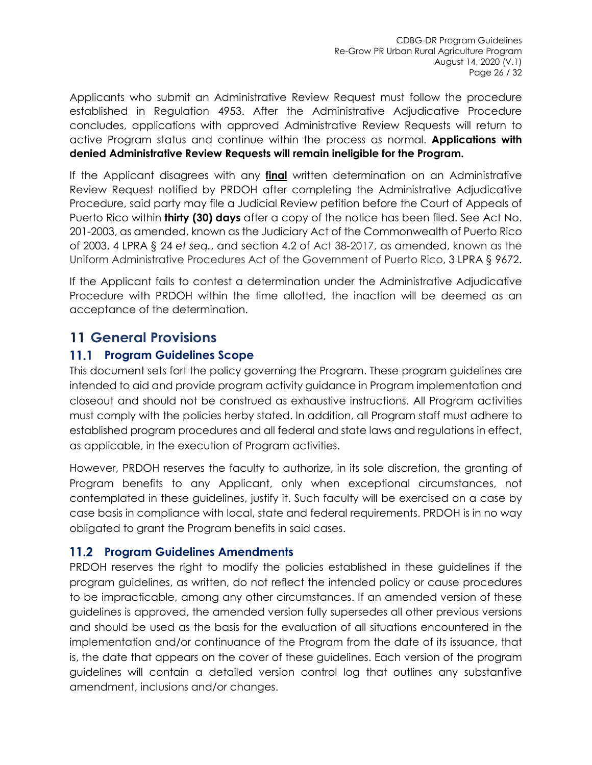Applicants who submit an Administrative Review Request must follow the procedure established in Regulation 4953. After the Administrative Adjudicative Procedure concludes, applications with approved Administrative Review Requests will return to active Program status and continue within the process as normal. **Applications with denied Administrative Review Requests will remain ineligible for the Program.**

If the Applicant disagrees with any **final** written determination on an Administrative Review Request notified by PRDOH after completing the Administrative Adjudicative Procedure, said party may file a Judicial Review petition before the Court of Appeals of Puerto Rico within **thirty (30) days** after a copy of the notice has been filed. See Act No. 201-2003, as amended, known as the Judiciary Act of the Commonwealth of Puerto Rico of 2003, 4 LPRA § 24 *et seq.*, and section 4.2 of Act 38-2017, as amended, known as the Uniform Administrative Procedures Act of the Government of Puerto Rico, 3 LPRA § 9672.

If the Applicant fails to contest a determination under the Administrative Adjudicative Procedure with PRDOH within the time allotted, the inaction will be deemed as an acceptance of the determination.

# <span id="page-25-0"></span>**General Provisions**

# <span id="page-25-1"></span>**Program Guidelines Scope**

This document sets fort the policy governing the Program. These program guidelines are intended to aid and provide program activity guidance in Program implementation and closeout and should not be construed as exhaustive instructions. All Program activities must comply with the policies herby stated. In addition, all Program staff must adhere to established program procedures and all federal and state laws and regulations in effect, as applicable, in the execution of Program activities.

However, PRDOH reserves the faculty to authorize, in its sole discretion, the granting of Program benefits to any Applicant, only when exceptional circumstances, not contemplated in these guidelines, justify it. Such faculty will be exercised on a case by case basis in compliance with local, state and federal requirements. PRDOH is in no way obligated to grant the Program benefits in said cases.

# <span id="page-25-2"></span>**Program Guidelines Amendments**

PRDOH reserves the right to modify the policies established in these guidelines if the program guidelines, as written, do not reflect the intended policy or cause procedures to be impracticable, among any other circumstances. If an amended version of these guidelines is approved, the amended version fully supersedes all other previous versions and should be used as the basis for the evaluation of all situations encountered in the implementation and/or continuance of the Program from the date of its issuance, that is, the date that appears on the cover of these guidelines. Each version of the program guidelines will contain a detailed version control log that outlines any substantive amendment, inclusions and/or changes.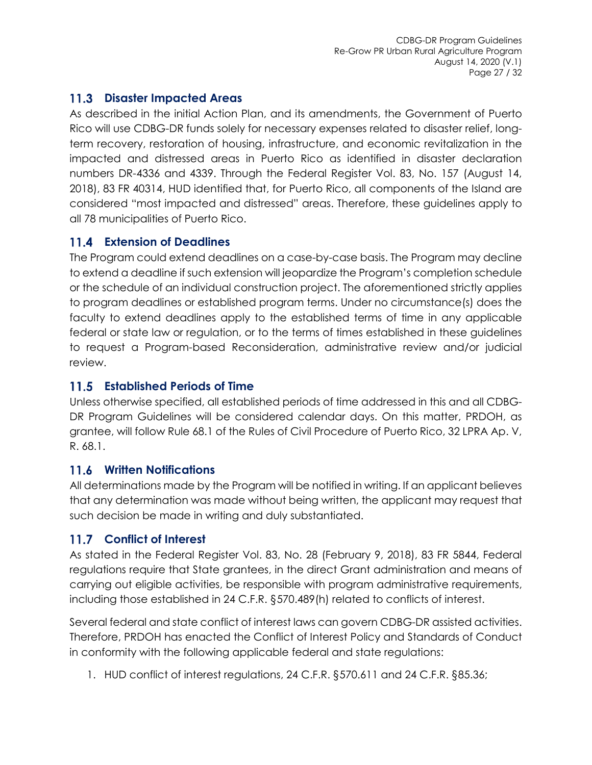## <span id="page-26-0"></span>**Disaster Impacted Areas**

As described in the initial Action Plan, and its amendments, the Government of Puerto Rico will use CDBG-DR funds solely for necessary expenses related to disaster relief, longterm recovery, restoration of housing, infrastructure, and economic revitalization in the impacted and distressed areas in Puerto Rico as identified in disaster declaration numbers DR-4336 and 4339. Through the Federal Register Vol. 83, No. 157 (August 14, 2018), 83 FR 40314, HUD identified that, for Puerto Rico, all components of the Island are considered "most impacted and distressed" areas. Therefore, these guidelines apply to all 78 municipalities of Puerto Rico.

## <span id="page-26-1"></span>**Extension of Deadlines**

The Program could extend deadlines on a case-by-case basis. The Program may decline to extend a deadline if such extension will jeopardize the Program's completion schedule or the schedule of an individual construction project. The aforementioned strictly applies to program deadlines or established program terms. Under no circumstance(s) does the faculty to extend deadlines apply to the established terms of time in any applicable federal or state law or regulation, or to the terms of times established in these guidelines to request a Program-based Reconsideration, administrative review and/or judicial review.

# <span id="page-26-2"></span>**Established Periods of Time**

Unless otherwise specified, all established periods of time addressed in this and all CDBG-DR Program Guidelines will be considered calendar days. On this matter, PRDOH, as grantee, will follow Rule 68.1 of the Rules of Civil Procedure of Puerto Rico, 32 LPRA Ap. V, R. 68.1.

# <span id="page-26-3"></span>**Written Notifications**

All determinations made by the Program will be notified in writing. If an applicant believes that any determination was made without being written, the applicant may request that such decision be made in writing and duly substantiated.

# <span id="page-26-4"></span>**Conflict of Interest**

As stated in the Federal Register Vol. 83, No. 28 (February 9, 2018), 83 FR 5844, Federal regulations require that State grantees, in the direct Grant administration and means of carrying out eligible activities, be responsible with program administrative requirements, including those established in 24 C.F.R. §570.489(h) related to conflicts of interest.

Several federal and state conflict of interest laws can govern CDBG-DR assisted activities. Therefore, PRDOH has enacted the Conflict of Interest Policy and Standards of Conduct in conformity with the following applicable federal and state regulations:

1. HUD conflict of interest regulations, 24 C.F.R. §570.611 and 24 C.F.R. §85.36;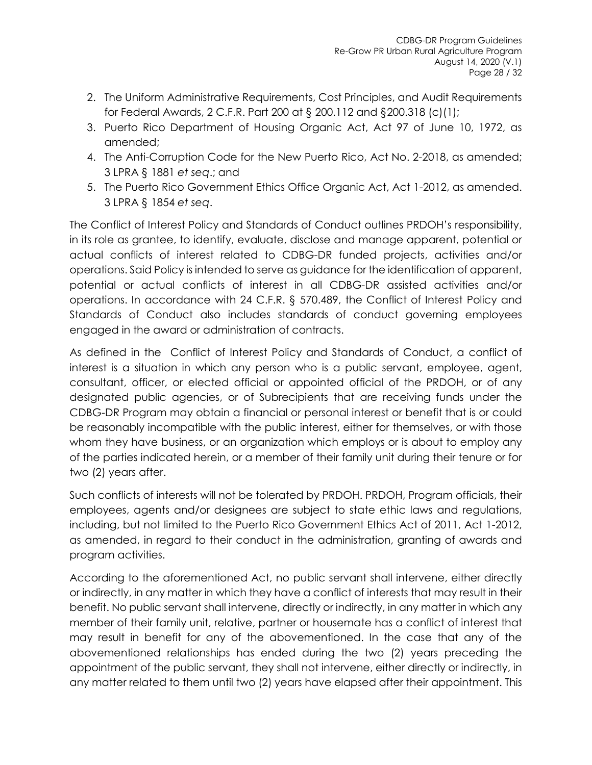- 2. The Uniform Administrative Requirements, Cost Principles, and Audit Requirements for Federal Awards, 2 C.F.R. Part 200 at § 200.112 and §200.318 (c)(1);
- 3. Puerto Rico Department of Housing Organic Act, Act 97 of June 10, 1972, as amended;
- 4. The Anti-Corruption Code for the New Puerto Rico, Act No. 2-2018, as amended; 3 LPRA § 1881 *et seq*.; and
- 5. The Puerto Rico Government Ethics Office Organic Act, Act 1-2012, as amended. 3 LPRA § 1854 *et seq*.

The Conflict of Interest Policy and Standards of Conduct outlines PRDOH's responsibility, in its role as grantee, to identify, evaluate, disclose and manage apparent, potential or actual conflicts of interest related to CDBG-DR funded projects, activities and/or operations. Said Policy is intended to serve as guidance for the identification of apparent, potential or actual conflicts of interest in all CDBG-DR assisted activities and/or operations. In accordance with 24 C.F.R. § 570.489, the Conflict of Interest Policy and Standards of Conduct also includes standards of conduct governing employees engaged in the award or administration of contracts.

As defined in the Conflict of Interest Policy and Standards of Conduct, a conflict of interest is a situation in which any person who is a public servant, employee, agent, consultant, officer, or elected official or appointed official of the PRDOH, or of any designated public agencies, or of Subrecipients that are receiving funds under the CDBG-DR Program may obtain a financial or personal interest or benefit that is or could be reasonably incompatible with the public interest, either for themselves, or with those whom they have business, or an organization which employs or is about to employ any of the parties indicated herein, or a member of their family unit during their tenure or for two (2) years after.

Such conflicts of interests will not be tolerated by PRDOH. PRDOH, Program officials, their employees, agents and/or designees are subject to state ethic laws and regulations, including, but not limited to the Puerto Rico Government Ethics Act of 2011, Act 1-2012, as amended, in regard to their conduct in the administration, granting of awards and program activities.

According to the aforementioned Act, no public servant shall intervene, either directly or indirectly, in any matter in which they have a conflict of interests that may result in their benefit. No public servant shall intervene, directly or indirectly, in any matter in which any member of their family unit, relative, partner or housemate has a conflict of interest that may result in benefit for any of the abovementioned. In the case that any of the abovementioned relationships has ended during the two (2) years preceding the appointment of the public servant, they shall not intervene, either directly or indirectly, in any matter related to them until two (2) years have elapsed after their appointment. This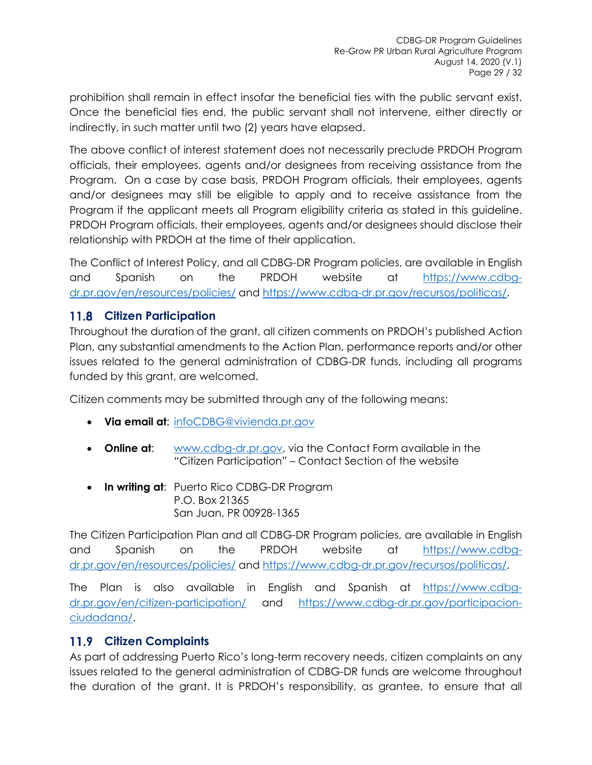prohibition shall remain in effect insofar the beneficial ties with the public servant exist. Once the beneficial ties end, the public servant shall not intervene, either directly or indirectly, in such matter until two (2) years have elapsed.

The above conflict of interest statement does not necessarily preclude PRDOH Program officials, their employees, agents and/or designees from receiving assistance from the Program. On a case by case basis, PRDOH Program officials, their employees, agents and/or designees may still be eligible to apply and to receive assistance from the Program if the applicant meets all Program eligibility criteria as stated in this guideline. PRDOH Program officials, their employees, agents and/or designees should disclose their relationship with PRDOH at the time of their application.

The Conflict of Interest Policy, and all CDBG-DR Program policies, are available in English and Spanish on the PRDOH website at [https://www.cdbg](https://www.cdbg-dr.pr.gov/en/resources/policies/)[dr.pr.gov/en/resources/policies/](https://www.cdbg-dr.pr.gov/en/resources/policies/) and [https://www.cdbg-dr.pr.gov/recursos/politicas/.](https://www.cdbg-dr.pr.gov/recursos/politicas/)

## <span id="page-28-0"></span>**Citizen Participation**

Throughout the duration of the grant, all citizen comments on PRDOH's published Action Plan, any substantial amendments to the Action Plan, performance reports and/or other issues related to the general administration of CDBG-DR funds, including all programs funded by this grant, are welcomed.

Citizen comments may be submitted through any of the following means:

- **Via email at**: [infoCDBG@vivienda.pr.gov](mailto:infoCDBG@vivienda.pr.gov)
- **Online at**: [www.cdbg-dr.pr.gov,](http://www.cdbg-dr.pr.gov/) via the Contact Form available in the "Citizen Participation" – Contact Section of the website
- **In writing at**: Puerto Rico CDBG-DR Program P.O. Box 21365 San Juan, PR 00928-1365

The Citizen Participation Plan and all CDBG-DR Program policies, are available in English and Spanish on the PRDOH website at [https://www.cdbg](https://www.cdbg-dr.pr.gov/en/resources/policies/)[dr.pr.gov/en/resources/policies/](https://www.cdbg-dr.pr.gov/en/resources/policies/) and [https://www.cdbg-dr.pr.gov/recursos/politicas/.](https://www.cdbg-dr.pr.gov/recursos/politicas/)

The Plan is also available in English and Spanish at [https://www.cdbg](https://www.cdbg-dr.pr.gov/en/citizen-participation/)[dr.pr.gov/en/citizen-participation/](https://www.cdbg-dr.pr.gov/en/citizen-participation/) and [https://www.cdbg-dr.pr.gov/participacion](https://www.cdbg-dr.pr.gov/participacion-ciudadana/)[ciudadana/.](https://www.cdbg-dr.pr.gov/participacion-ciudadana/)

#### <span id="page-28-1"></span>**Citizen Complaints**

As part of addressing Puerto Rico's long-term recovery needs, citizen complaints on any issues related to the general administration of CDBG-DR funds are welcome throughout the duration of the grant. It is PRDOH's responsibility, as grantee, to ensure that all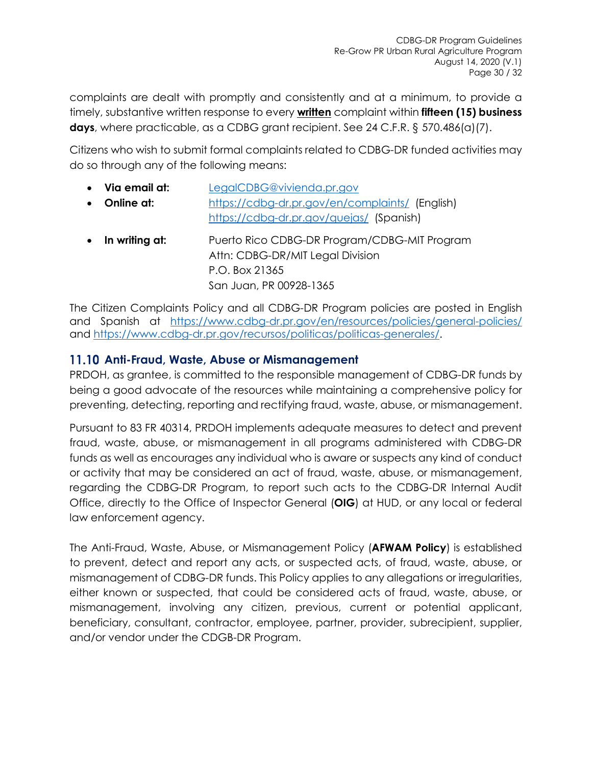complaints are dealt with promptly and consistently and at a minimum, to provide a timely, substantive written response to every **written** complaint within **fifteen (15) business days**, where practicable, as a CDBG grant recipient. See 24 C.F.R. § 570.486(a)(7).

Citizens who wish to submit formal complaints related to CDBG-DR funded activities may do so through any of the following means:

- **Via email at:** [LegalCDBG@vivienda.pr.gov](mailto:LegalCDBG@vivienda.pr.gov) • **Online at:** <https://cdbg-dr.pr.gov/en/complaints/>(English) <https://cdbg-dr.pr.gov/quejas/>(Spanish)
- **In writing at:** Puerto Rico CDBG-DR Program/CDBG-MIT Program Attn: CDBG-DR/MIT Legal Division P.O. Box 21365 San Juan, PR 00928-1365

The Citizen Complaints Policy and all CDBG-DR Program policies are posted in English and Spanish at <https://www.cdbg-dr.pr.gov/en/resources/policies/general-policies/> and [https://www.cdbg-dr.pr.gov/recursos/politicas/politicas-generales/.](https://www.cdbg-dr.pr.gov/recursos/politicas/politicas-generales/)

# <span id="page-29-0"></span>**Anti-Fraud, Waste, Abuse or Mismanagement**

PRDOH, as grantee, is committed to the responsible management of CDBG-DR funds by being a good advocate of the resources while maintaining a comprehensive policy for preventing, detecting, reporting and rectifying fraud, waste, abuse, or mismanagement.

Pursuant to 83 FR 40314, PRDOH implements adequate measures to detect and prevent fraud, waste, abuse, or mismanagement in all programs administered with CDBG-DR funds as well as encourages any individual who is aware or suspects any kind of conduct or activity that may be considered an act of fraud, waste, abuse, or mismanagement, regarding the CDBG-DR Program, to report such acts to the CDBG-DR Internal Audit Office, directly to the Office of Inspector General (**OIG**) at HUD, or any local or federal law enforcement agency.

The Anti-Fraud, Waste, Abuse, or Mismanagement Policy (**AFWAM Policy**) is established to prevent, detect and report any acts, or suspected acts, of fraud, waste, abuse, or mismanagement of CDBG-DR funds. This Policy applies to any allegations or irregularities, either known or suspected, that could be considered acts of fraud, waste, abuse, or mismanagement, involving any citizen, previous, current or potential applicant, beneficiary, consultant, contractor, employee, partner, provider, subrecipient, supplier, and/or vendor under the CDGB-DR Program.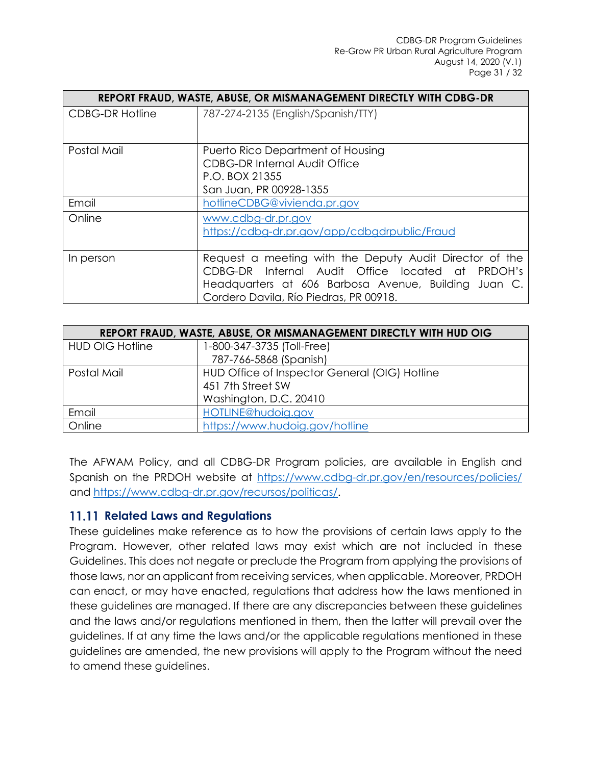| REPORT FRAUD, WASTE, ABUSE, OR MISMANAGEMENT DIRECTLY WITH CDBG-DR |                                                                                                                                                                                                               |
|--------------------------------------------------------------------|---------------------------------------------------------------------------------------------------------------------------------------------------------------------------------------------------------------|
| <b>CDBG-DR Hotline</b>                                             | 787-274-2135 (English/Spanish/TTY)                                                                                                                                                                            |
| Postal Mail                                                        | Puerto Rico Department of Housing<br><b>CDBG-DR Internal Audit Office</b><br>P.O. BOX 21355<br>San Juan, PR 00928-1355                                                                                        |
| Email                                                              | hotlineCDBG@vivienda.pr.gov                                                                                                                                                                                   |
| Online                                                             | www.cdbg-dr.pr.gov<br>https://cdbg-dr.pr.gov/app/cdbgdrpublic/Fraud                                                                                                                                           |
| In person                                                          | Request a meeting with the Deputy Audit Director of the<br>CDBG-DR Internal Audit Office located at PRDOH's<br>Headquarters at 606 Barbosa Avenue, Building Juan C.<br>Cordero Davila, Río Piedras, PR 00918. |

| REPORT FRAUD, WASTE, ABUSE, OR MISMANAGEMENT DIRECTLY WITH HUD OIG |                                               |
|--------------------------------------------------------------------|-----------------------------------------------|
| <b>HUD OIG Hotline</b>                                             | 1-800-347-3735 (Toll-Free)                    |
|                                                                    | 787-766-5868 (Spanish)                        |
| Postal Mail                                                        | HUD Office of Inspector General (OIG) Hotline |
|                                                                    | 451 7th Street SW                             |
|                                                                    | Washington, D.C. 20410                        |
| Email                                                              | HOTLINE@hudoig.gov                            |
| Online                                                             | https://www.hudoig.gov/hotline                |

The AFWAM Policy, and all CDBG-DR Program policies, are available in English and Spanish on the PRDOH website at <https://www.cdbg-dr.pr.gov/en/resources/policies/> and [https://www.cdbg-dr.pr.gov/recursos/politicas/.](https://www.cdbg-dr.pr.gov/recursos/politicas/)

#### <span id="page-30-0"></span>**Related Laws and Regulations**

These guidelines make reference as to how the provisions of certain laws apply to the Program. However, other related laws may exist which are not included in these Guidelines. This does not negate or preclude the Program from applying the provisions of those laws, nor an applicant from receiving services, when applicable. Moreover, PRDOH can enact, or may have enacted, regulations that address how the laws mentioned in these guidelines are managed. If there are any discrepancies between these guidelines and the laws and/or regulations mentioned in them, then the latter will prevail over the guidelines. If at any time the laws and/or the applicable regulations mentioned in these guidelines are amended, the new provisions will apply to the Program without the need to amend these guidelines.